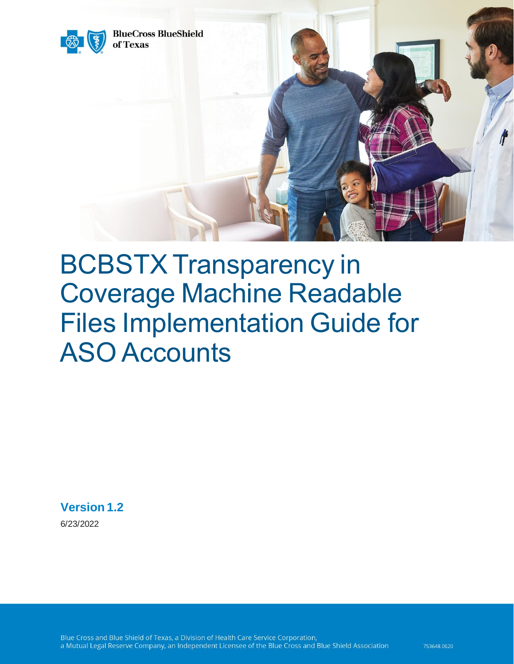

# BCBSTX Transparency in Coverage Machine Readable Files Implementation Guide for ASO Accounts

**Version 1.2**

6/23/2022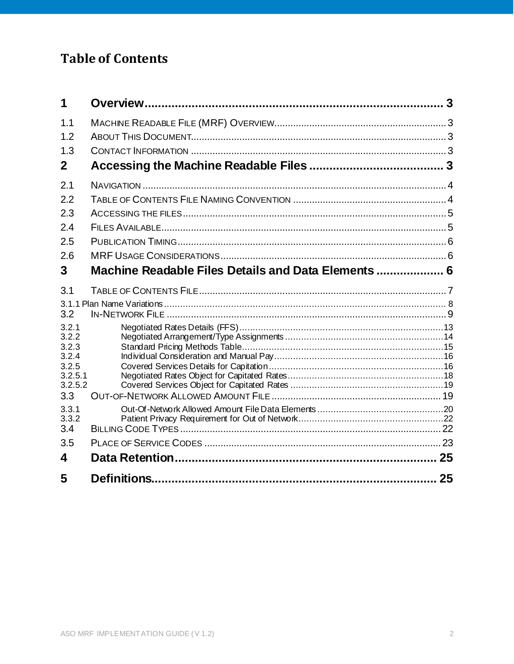# **Table of Contents**

| 1                  |                                                     |    |
|--------------------|-----------------------------------------------------|----|
| 1.1                |                                                     |    |
| 1.2                |                                                     |    |
| 1.3                |                                                     |    |
| $\mathbf{2}$       |                                                     |    |
| 2.1                |                                                     |    |
| 2.2                |                                                     |    |
| 2.3                |                                                     |    |
| 2.4                |                                                     |    |
| 2.5                |                                                     |    |
| 2.6                |                                                     |    |
| 3                  | Machine Readable Files Details and Data Elements  6 |    |
| 3.1                |                                                     |    |
|                    |                                                     |    |
| 3.2                |                                                     |    |
| 3.2.1<br>3.2.2     |                                                     |    |
| 3.2.3              |                                                     |    |
| 3.2.4              |                                                     |    |
| 3.2.5              |                                                     |    |
| 3.2.5.1<br>3.2.5.2 |                                                     |    |
| 3.3                |                                                     |    |
| 3.3.1              |                                                     |    |
| 3.3.2              |                                                     |    |
| 3.4                |                                                     |    |
| 3.5                |                                                     |    |
| 4                  |                                                     |    |
| 5                  | Definitions.                                        | 25 |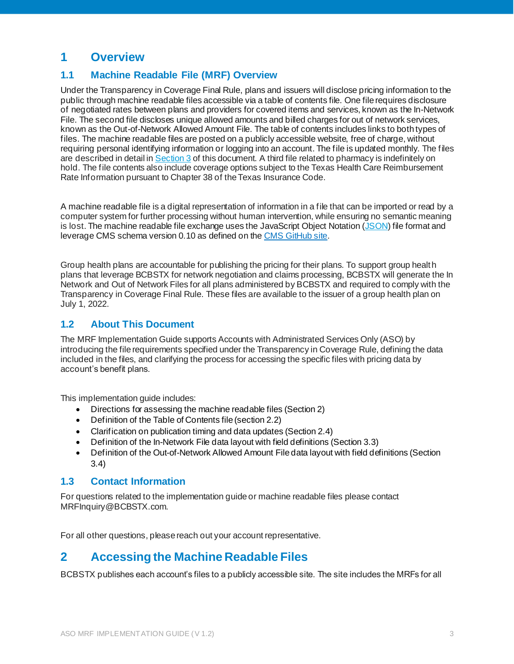# <span id="page-2-0"></span>**1 Overview**

# <span id="page-2-1"></span>**1.1 Machine Readable File (MRF) Overview**

Under the Transparency in Coverage Final Rule, plans and issuers will disclose pricing information to the public through machine readable files accessible via a table of contents file. One file requires disclosure of negotiated rates between plans and providers for covered items and services, known as the In-Network File. The second file discloses unique allowed amounts and billed charges for out of network services, known as the Out-of-Network Allowed Amount File. The table of contents includes links to both types of files. The machine readable files are posted on a publicly accessible website, free of charge, without requiring personal identifying information or logging into an account. The file is updated monthly. The files are described in detail in [Section 3](#page-5-2) of this document. A third file related to pharmacy is indefinitely on hold. The file contents also include coverage options subject to the Texas Health Care Reimbursement Rate Information pursuant to Chapter 38 of the Texas Insurance Code.

A machine readable file is a digital representation of information in a file that can be imported or read by a computer system for further processing without human intervention, while ensuring no semantic meaning is lost. The machine readable file exchange uses the JavaScript Object Notation [\(JSON](https://en.wikipedia.org/wiki/JSON)) file format and leverage CMS schema version 0.10 as defined on th[e CMS GitHub site](https://github.com/CMSgov/price-transparency-guide).

Group health plans are accountable for publishing the pricing for their plans. To support group health plans that leverage BCBSTX for network negotiation and claims processing, BCBSTX will generate the In Network and Out of Network Files for all plans administered by BCBSTX and required to comply with the Transparency in Coverage Final Rule. These files are available to the issuer of a group health plan on July 1, 2022.

#### <span id="page-2-2"></span>**1.2 About This Document**

The MRF Implementation Guide supports Accounts with Administrated Services Only (ASO) by introducing the file requirements specified under the Transparency in Coverage Rule, defining the data included in the files, and clarifying the process for accessing the specific files with pricing data by account's benefit plans.

This implementation guide includes:

- Directions for assessing the machine readable files (Section 2)
- Definition of the Table of Contents file (section 2.2)
- Clarification on publication timing and data updates (Section 2.4)
- Definition of the In-Network File data layout with field definitions (Section 3.3)
- Definition of the Out-of-Network Allowed Amount File data layout with field definitions (Section 3.4)

#### <span id="page-2-3"></span>**1.3 Contact Information**

For questions related to the implementation guide or machine readable files please contact MRFInquiry@BCBSTX.com.

<span id="page-2-4"></span>For all other questions, please reach out your account representative.

# **2 Accessing the Machine Readable Files**

BCBSTX publishes each account's files to a publicly accessible site. The site includes the MRFs for all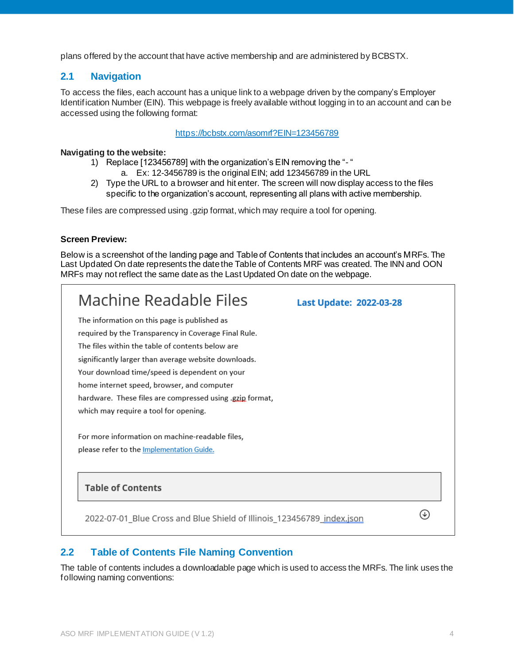plans offered by the account that have active membership and are administered by BCBSTX.

### <span id="page-3-0"></span>**2.1 Navigation**

To access the files, each account has a unique link to a webpage driven by the company's Employer Identification Number (EIN). This webpage is freely available without logging in to an account and can be accessed using the following format:

#### <https://bcbstx.com/asomrf?EIN=123456789>

#### **Navigating to the website:**

- 1) Replace [123456789] with the organization's EIN removing the "- "
	- a. Ex: 12-3456789 is the original EIN; add 123456789 in the URL
- 2) Type the URL to a browser and hit enter. The screen will now display access to the files specific to the organization's account, representing all plans with active membership.

These files are compressed using .gzip format, which may require a tool for opening.

#### **Screen Preview:**

Below is a screenshot of the landing page and Table of Contents that includes an account's MRFs. The Last Updated On date represents the date the Table of Contents MRF was created. The INN and OON MRFs may not reflect the same date as the Last Updated On date on the webpage.

| Machine Readable Files                                                                       | Last Update: 2022-03-28 |  |
|----------------------------------------------------------------------------------------------|-------------------------|--|
| The information on this page is published as                                                 |                         |  |
| required by the Transparency in Coverage Final Rule.                                         |                         |  |
| The files within the table of contents below are                                             |                         |  |
| significantly larger than average website downloads.                                         |                         |  |
| Your download time/speed is dependent on your                                                |                         |  |
| home internet speed, browser, and computer                                                   |                         |  |
| hardware. These files are compressed using gzip format,                                      |                         |  |
| which may require a tool for opening.                                                        |                         |  |
| For more information on machine-readable files,<br>please refer to the Implementation Guide. |                         |  |
| <b>Table of Contents</b>                                                                     |                         |  |
| 2022-07-01_Blue Cross and Blue Shield of Illinois_123456789_index.json                       |                         |  |

#### <span id="page-3-1"></span>**2.2 Table of Contents File Naming Convention**

The table of contents includes a downloadable page which is used to access the MRFs. The link uses the following naming conventions: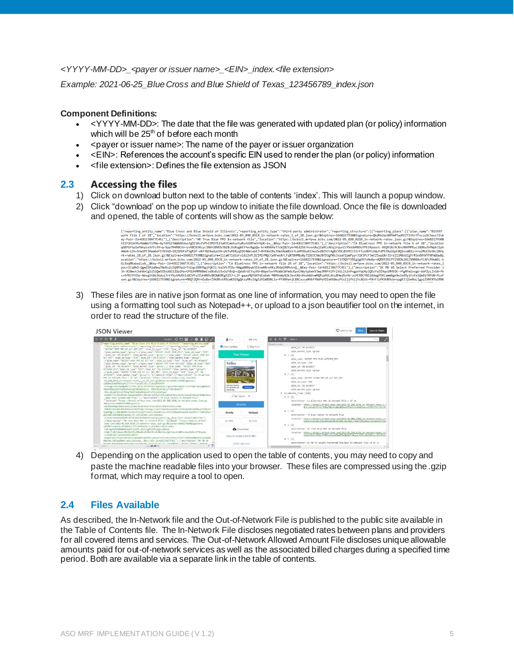#### *<YYYY-MM-DD>\_<payer or issuer name>\_<EIN>\_index.<file extension>*

*Example: 2021-06-25\_Blue Cross and Blue Shield of Texas\_123456789\_index.json*

#### **Component Definitions:**

- $\le$  YYYY-MM-DD $>$ : The date that the file was generated with updated plan (or policy) information which will be  $25<sup>th</sup>$  of before each month
- < payer or issuer name >: The name of the payer or issuer organization
- <EIN>: References the account's specific EIN used to render the plan (or policy) information
- <file extension>: Defines the file extension as JSON

#### <span id="page-4-0"></span>**2.3 Accessing the files**

- <span id="page-4-1"></span>1) Click on download button next to the table of contents 'index'. This will launch a popup window.
- 2) Click "download' on the pop up window to initiate the file download. Once the file is downloaded and opened, the table of contents will show as the sample below:

| ("reporting entity name":"Blue Cross and Blue Shield of Illinois","reporting entity type":"third-party administrator","reporting structure":[{"reporting plans":[{"plan name":"015597<br>work file 1 of 28","location":"https://bcbsil.mrfpve.bcbs.com/2022-05 040 05C0 in-network-rates 1 of 28.json.gz?&Expires=1660217930&Signature=QkdKk2anXXPm4TwpMZZTIfhr7Fsccw5C5euLTZvW |
|---------------------------------------------------------------------------------------------------------------------------------------------------------------------------------------------------------------------------------------------------------------------------------------------------------------------------------------------------------------------------------|
|                                                                                                                                                                                                                                                                                                                                                                                 |
| ev-Pair-Id=K81ZJ0AT7C4EL"}{"description":"AR True Blue PPO in-network file"."location":"https://bcbsil.mrfpve.bcbs.com/2022-05 020 02I0 in-network-rates.ison.gz?&Expires=1660217930&                                                                                                                                                                                           |
| hI1F2Ozk9Sv9eWWzYlYNe~Ay7dfG1TWWA6KUosfgDZ1Ru7xPhIIM1YE23aKYCmehuntaRufd2RFm3rHpK~iw &Key-Pair-Id=K81ZJ0AT7C4EL"}{"description":"CA BlueCross PPO in-network file 6 of 28","location                                                                                                                                                                                            |
| qGBFGf5pIeFWnpzxSftLfV~q~5pp7R4R0CUv~yvHBCB3XcycJNVn28VOSJBdlLOsRogWtYfevBgpQw-krAXV6HaT7cWj8ZtykfAEd2SErhvxnXwjZaRCcAEqjrqunZzYVoUbMOOuYPEZ4poocC-9EQ91Xc9cXncRNfMPKuci8DKwJhPWpkJipV                                                                                                                                                                                          |
| 4mbA~iZhviHaSPF3Hem6eFI765SD~1XiSDUFxP3eR1P-oRf7WZ4eduU3V~pV7uM1RvaD2E4WkLebE7~RfENxIBu7Om3AoW8s5JLeHPOOuA3JeoZe2NZS7c4eNzYDCdHJRIJJZrFTusXDYLEWuFdPSJXa1GpC0O2vcm02z~hrw2RUcDx5Kc2KHv                                                                                                                                                                                          |
| rk-rates 18 of 28.json.gz?&Expires=1660217930&Signature=IlzaKTldlorvlAi2nPLDZIMlfMOcta9FesRrLFqNT8HMBuNv71DUJCVmzNTD3gP0sJxsaYIpmPvvrJiK5PcFJmtZEwuGXr3IrxjIiM4nUZgFrRSn4VhVYFNFmDbwBp                                                                                                                                                                                          |
| ocation":"https://bcbsil.mrfpve.bcbs.com/2022-05 040 05C0 in-network-rates 19 of 28.json.gz?&Expires=1660217930&Signature=TiYOQYT5BEg2gO97sNw8y~dQRVEEKCPYZSBDki01ZVN08AoTCAPcR9wW6L-k                                                                                                                                                                                          |
| GL4xqMKabaiLwA &Key-Pair-Id=K81ZJ0AT7C4EL"},{"description":"CA BlueCross PPO in-network file 24 of 28","location":"https://bcbsil.mrfpve.bcbs.com/2022-05 040 05C0 in-network-rates 2                                                                                                                                                                                           |
| pocrICq8kD-Qgm2SRjaNeqTNwVu2cEQ4M3p2rTnEqp1BBH9gjFQKIi-ka1VS7EDu~VWgqN0Bpqk5EGvmXNroHKy2RdpG9XMvhsQ_&Key-Pair-Id=K81ZJ0AT7C4EL"},{"description":"DC MD VA Select Preferred Provider i                                                                                                                                                                                           |
| 3h-XI0mvtJwHAnCgS15i0m5EBsUGG12Dp2HorUfGUhMRMANeCvdXxXcU3vOzF0s0~c0dxKrUCYsyVU~0ApwTovYMzWbCWfm4cKpsCHWztp6ekV3mp3MHFhIPrZtGLIt2nPngpnYqU4y100zYsDZHqoiMH9IK-rPgMFmIxvgb-bbP2yLZnSA~fk                                                                                                                                                                                          |
| cr6fNJYFOSo-Wbsg5t0e3GduiJrtYVytMoRtEdXIVFxIEUn0N9v8KDWKBKg52S7~L2Y-gqauMQYAHYdEaDak-M0HVxWy82k3extX6vXtokWUvmMQRvpHULAtuXHmjBuFW-ucHCRBCYNSi8dagPEKCammBge9w3xA9yjFofe1Qe0jfXPd8~PusP                                                                                                                                                                                          |
| son.gz?&Expires=1660217930&Signature=MBQT2QVrnEw8xrZVkBKvtRBcmK924gQhzuMRvIAg52H1W8DNLSs~PY48HanjC8XCxzcaNH6ffNdPwYDIeK68ozPtsI1jfh11YcADit~PXrF7yPK9UN9zbrspgRJJZbeRwLIgpjIVNfXYb1RN0                                                                                                                                                                                          |
|                                                                                                                                                                                                                                                                                                                                                                                 |

3) These files are in native json format as one line of information, you may need to open the file using a formatting tool such as Notepad++, or upload to a json beautifier tool on the internet, in order to read the structure of the file.

| <b>JSON Viewer</b>                                                                                                                                                                                                                                                                                                                                                                                                                                                                                                                                                                                                                                                                                                                                                                                                                                                                                                                                                                                                                                                                                                                                                                                                                                                                                                                                                                                                                                                                                                                                                                                                                                                     |                                                                          |                                                                                            | C Add to Fay<br>New<br>Save & Share                                                                                                                                                                                                                                                                                                                                                                                                 |
|------------------------------------------------------------------------------------------------------------------------------------------------------------------------------------------------------------------------------------------------------------------------------------------------------------------------------------------------------------------------------------------------------------------------------------------------------------------------------------------------------------------------------------------------------------------------------------------------------------------------------------------------------------------------------------------------------------------------------------------------------------------------------------------------------------------------------------------------------------------------------------------------------------------------------------------------------------------------------------------------------------------------------------------------------------------------------------------------------------------------------------------------------------------------------------------------------------------------------------------------------------------------------------------------------------------------------------------------------------------------------------------------------------------------------------------------------------------------------------------------------------------------------------------------------------------------------------------------------------------------------------------------------------------------|--------------------------------------------------------------------------|--------------------------------------------------------------------------------------------|-------------------------------------------------------------------------------------------------------------------------------------------------------------------------------------------------------------------------------------------------------------------------------------------------------------------------------------------------------------------------------------------------------------------------------------|
| sample ODB v e TD /<br>ヨヨヨアメ<br>1 "reporting entity name": "Blue Cross and Blue Shield of Illinois", "reporting entity type"                                                                                                                                                                                                                                                                                                                                                                                                                                                                                                                                                                                                                                                                                                                                                                                                                                                                                                                                                                                                                                                                                                                                                                                                                                                                                                                                                                                                                                                                                                                                           | $f$ File                                                                 | <b>GD URL</b>                                                                              | $\div$ $\div$ $\div$ $\mathbb{F}$ View $\cdot$<br>T.<br>Select a node                                                                                                                                                                                                                                                                                                                                                               |
| :"third-party administrator", "reporting structure":[("reporting plans":[("plan name"<br>:"015597 PREM PPO WI ALT NET_MFZ", "plan id type":"EIN", "plan id":"01-0338597"<br>"plan_market_type":"group"),("plan_name":"015597 VALUE CDHP_MFA","plan_id_type":"EIN"<br>"plan id":"01-0338597", "plan market type":"group"), ("plan name":"015597 VALUE COHP ALT<br>NET MEZ"."plan id type":"EIN"."plan id":"01-0338597"."plan market type":"group")<br>.("plan name":"015597 PREH PPO WI ALT NET","plan id type":"EIN","plan id":"01-0338597"<br>"plan market type":"group"),("plan name":"015597 PPD PLAN ACTIVES","plan id type":"EIN"<br>"plan id":"01-0338597","plan market type":"group"),("plan name":"015597 PPO PLAN<br>ACTIVES MFA","plan_id_type":"EIN","plan_id":"01-0338597","plan_market_type":"group"}<br>.("plan_name":"015597_STAND_PPO_HI_ALT_NET_MFZ","plan_id_type":"EIN","plan_id":"01<br>-0338597"."plan market type":"group")1."In network files":[("description":"CA BlueCross<br>PPO In-network file 1 of 28", "location": "https://bcbsil.wrfpve.bcbs.com/2022<br>-85 848 8508 in-network-rates 1 of 28.json.gz?&Expires=1668217938&Signature<br>-E1rVugzsvUi3YpVgd4d7i7efhC:jtlN-zEfzPh1p5C4ymzknA2uFghyYjYBcG4g3OL7IvHT9BpY-Qva5g8MQsYZ<br>SOnVTXXqEehOEItqYOyhunSngIhdFyNdZGxEV -- 1805c0GqP38osy333erNJWWFC7<br>-fCn-u9yadCSCrvCjTAhg70kmfnm0ppNb0px837e71x1uMoKIgah<br>-pFG2H177cLIPLiPxOS-FoigLEGEDWx-RUOho0-1T95yYv15PyGg9y0=tOuy36nAnvew2URrEEuzUT8nQDyVAnvu<br>BEev-Pair-Id-KB1ZJBAT7C4EL"), ["description": "TX Blue Choice in-network file"<br>."location":"https://bcbsil.mrfove.bcbs.com/2022-05 400 59HD in-network-rates.ison.gz | Auto Update<br>Vrho<br>Vacasion homes<br>for advancer you<br>call family | <b>D</b> Big Num<br><b>Tree Viewer</b><br><b>D</b> X<br><b>Find yours</b><br>2 Tab Space V | plan id: 01-0338597<br>plan market type : group<br>$v$ 5 (4)<br>plan name: 015597 PPO PLAN ACTIVES MFA<br>plan_id_type : EIN<br>plan id: 01-0338597<br>plan_market_type : group<br>7.6(4)<br>plan name: 015597 STAND PPO WI ALT NET MFZ<br>plan 1d type : EIN<br>plan id: 01-0338597<br>plan_market_type : group<br># in network files [110]<br>$\mathbf{v} \oplus \{2\}$<br>description : CA BlueCross PPO in-network file 1 of 28 |
| RExpires-1660217930&Signature<br>-DickAP6NDmDYCmXA1Ums@lxv1Ney3kuXH9n4Er#T82hUXJH11MOP9E1Y82ELEPm3<br>-9UR4kInk5282LdWaah5KAnbFARzRIJOki.Jbkr#aLrna9eYJNA3MEeAuAoZ8HIIktfKm5GEPrUhVMGegtYIdLV1f                                                                                                                                                                                                                                                                                                                                                                                                                                                                                                                                                                                                                                                                                                                                                                                                                                                                                                                                                                                                                                                                                                                                                                                                                                                                                                                                                                                                                                                                        |                                                                          | Beautify                                                                                   | location: https://bcbsil.mrfpve.bcbs.com/2022-05 040 0500 in-network-rates 1 c<br>FCn~u9vadCSCruC1TAhe70kmfnm8opNb0ox837e71xIsMoKIgah-pF6ZH377cLIPL1P                                                                                                                                                                                                                                                                               |
| OvnDDMavtiLBdLdBAKKt1Xo3RzlVLI~g6fYbRxBoL4Da48Px~dzcKPUFoD8BaAkHnWaOWrICpTNJClT1SDFV45on<br>gzCntldFEHdtkOPwSCcpUnGz71c-IECxuPbepLwenCxtaEoDc6                                                                                                                                                                                                                                                                                                                                                                                                                                                                                                                                                                                                                                                                                                                                                                                                                                                                                                                                                                                                                                                                                                                                                                                                                                                                                                                                                                                                                                                                                                                         | Minify                                                                   | Validate                                                                                   | 4 1 (2)<br>description: TX Blue Choice in-network file                                                                                                                                                                                                                                                                                                                                                                              |
| -21vexEYv4vmKm1PBEBt7Xk3XTDbRSGENGbWYG1VyKPaUojwtsiTJg &Key-Pair-1d-KB1ZJ0AT7C4EL")<br>,("description":"AR True Blue PPO in-network file","location":"https://bcbsil.mrfpve<br>.bcbs.com/2022-05 020 02I0 in-network-rates.json.gz?&Expires=1660217930&Signature                                                                                                                                                                                                                                                                                                                                                                                                                                                                                                                                                                                                                                                                                                                                                                                                                                                                                                                                                                                                                                                                                                                                                                                                                                                                                                                                                                                                       | to XML                                                                   | to CSV                                                                                     | location: https://bcbsil.mrfpve.bcbs.com/2022-05.400_59H0_in-network-rates.isc<br>9UR4kInk5282LdYNuh5KAnbFARzR1JOkL]bkrMeLrna9eYJNN3MEeAuAo28HilktfKm3<br>$-2(2)$                                                                                                                                                                                                                                                                   |
| =BhffDlsIUatev-617dBtCA-IFinjYRYKpSkLIzw93bMDsZvOk1HLsBAn2<br>-CoD-@p5H45K986NAXV4ckZTn21H7~z5chtdefW]ITKwSeku3002m8                                                                                                                                                                                                                                                                                                                                                                                                                                                                                                                                                                                                                                                                                                                                                                                                                                                                                                                                                                                                                                                                                                                                                                                                                                                                                                                                                                                                                                                                                                                                                   |                                                                          | <b>Co</b> Download                                                                         | description : AR True Blue PPO in-network file                                                                                                                                                                                                                                                                                                                                                                                      |
| -hWybifrdk7LNoezLfP19hySJtv0EWsdcEdINLC9rsM-IHn1SpojgArUoL4UvHY0-LHzw1GlIslhT5tWzXm<br>-scftmD-GhS-AmZsEOoHxCAjBnYH<br>-4sAbbTOxFzHTUUvVFOEJu161xm5Ra@F5qCNK5qFyBecopJnPEvaRcEB3hez-9JhHT]UVBXchDFBA9VxV-q1qVAh<br>@OKONbiTSDTquODHvF-aBsLEGn3ufvw &Kev-PaIr-Id-K8123@AT7C4EL").("description":"DC MD VA<br>Solort Deafonead Decuidar in eaturek filo 24 of 25" "Incation" "https://hchcil.medaug.<br>size: 60.65 KB<br>List Cott                                                                                                                                                                                                                                                                                                                                                                                                                                                                                                                                                                                                                                                                                                                                                                                                                                                                                                                                                                                                                                                                                                                                                                                                                                      |                                                                          | How to create a ISON file?<br><b>JSON Full Form</b>                                        | location : https://bcbsil.mrfpve.bcbs.com/2022-05.020.02I0.in-network-rates.is;<br>4sAbbTOxFzHTUUyYFOEJu16ixm5Ra0FSqCI0(SoFyBecooJnPEyaRcEB3hez=9JhHTJU<br>$-3(2)$<br>description : DC PD VA Select Preferred Provider in network file 34 of 35                                                                                                                                                                                     |

4) Depending on the application used to open the table of contents, you may need to copy and paste the machine readable files into your browser. These files are compressed using the .gzip format, which may require a tool to open.

## **2.4 Files Available**

As described, the In-Network file and the Out-of-Network File is published to the public site available in the Table of Contents file. The In-Network File discloses negotiated rates between plans and providers for all covered items and services. The Out-of-Network Allowed Amount File discloses unique allowable amounts paid for out-of-network services as well as the associated billed charges during a specified time period. Both are available via a separate link in the table of contents.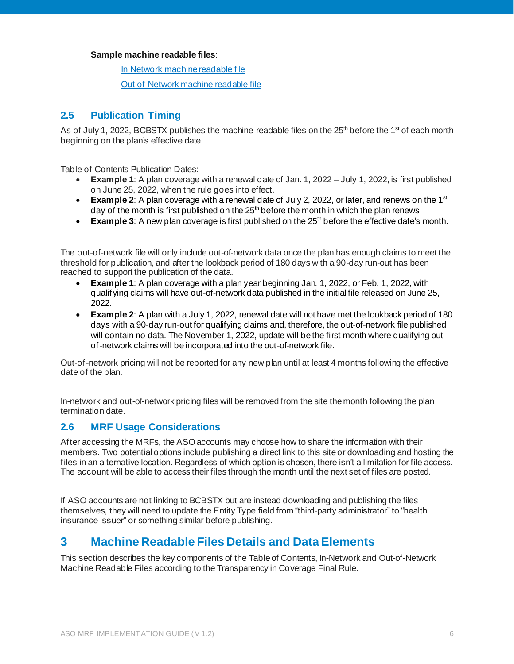#### **Sample machine readable files**:

[In Network machine readable file](https://staging.bcbsil.com/content/dam/bcbs/mrf/implementation-guides/2022-04-10_Blue-Cross-and-Blue-Shield-Of-Illinois_Federal-Employee-Program_in-network-rates.json)

[Out of Network machine readable file](https://staging.bcbsil.com/content/dam/bcbs/mrf/implementation-guides/2022-04-06_Blue-Cross-and-Blue-Shield-Of-Illinois_Blue-Advantage-HMO_allowed-amounts.json)

# <span id="page-5-0"></span>**2.5 Publication Timing**

As of July 1, 2022, BCBSTX publishes the machine-readable files on the  $25<sup>th</sup>$  before the 1<sup>st</sup> of each month beginning on the plan's effective date.

Table of Contents Publication Dates:

- **Example 1**: A plan coverage with a renewal date of Jan. 1, 2022 July 1, 2022, is first published on June 25, 2022, when the rule goes into effect.
- **Example 2:** A plan coverage with a renewal date of July 2, 2022, or later, and renews on the 1<sup>st</sup> day of the month is first published on the  $25<sup>th</sup>$  before the month in which the plan renews.
- Example 3: A new plan coverage is first published on the 25<sup>th</sup> before the effective date's month.

The out-of-network file will only include out-of-network data once the plan has enough claims to meet the threshold for publication, and after the lookback period of 180 days with a 90-day run-out has been reached to support the publication of the data.

- **Example 1**: A plan coverage with a plan year beginning Jan. 1, 2022, or Feb. 1, 2022, with qualifying claims will have out-of-network data published in the initial file released on June 25, 2022.
- **Example 2**: A plan with a July 1, 2022, renewal date will not have met the lookback period of 180 days with a 90-day run-out for qualifying claims and, therefore, the out-of-network file published will contain no data. The November 1, 2022, update will be the first month where qualifying outof-network claims will be incorporated into the out-of-network file.

Out-of-network pricing will not be reported for any new plan until at least 4 months following the effective date of the plan.

In-network and out-of-network pricing files will be removed from the site the month following the plan termination date.

## <span id="page-5-1"></span>**2.6 MRF Usage Considerations**

After accessing the MRFs, the ASO accounts may choose how to share the information with their members. Two potential options include publishing a direct link to this site or downloading and hosting the files in an alternative location. Regardless of which option is chosen, there isn't a limitation for file access. The account will be able to access their files through the month until the next set of files are posted.

If ASO accounts are not linking to BCBSTX but are instead downloading and publishing the files themselves, they will need to update the Entity Type field from "third-party administrator" to "health insurance issuer" or something similar before publishing.

# <span id="page-5-2"></span>**3 Machine Readable Files Details and Data Elements**

This section describes the key components of the Table of Contents, In-Network and Out-of-Network Machine Readable Files according to the Transparency in Coverage Final Rule.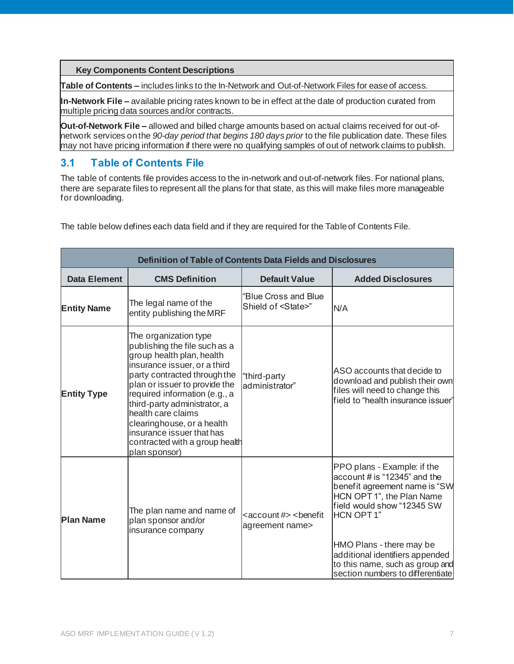**Key Components Content Descriptions**

**Table of Contents –** includes links to the In-Network and Out-of-Network Files for ease of access.

**In-Network File –** available pricing rates known to be in effect at the date of production curated from multiple pricing data sources and/or contracts.

**Out-of-Network File –** allowed and billed charge amounts based on actual claims received for out-ofnetwork services on the *90-day period that begins 180 days prior* to the file publication date. These files may not have pricing information if there were no qualifying samples of out of network claims to publish.

# <span id="page-6-0"></span>**3.1 Table of Contents File**

The table of contents file provides access to the in-network and out-of-network files. For national plans, there are separate files to represent all the plans for that state, as this will make files more manageable for downloading.

| Definition of Table of Contents Data Fields and Disclosures |                                                                                                                                                                                                                                                                                                                                                                                           |                                                                      |                                                                                                                                                                                                                                                                                                                   |  |  |
|-------------------------------------------------------------|-------------------------------------------------------------------------------------------------------------------------------------------------------------------------------------------------------------------------------------------------------------------------------------------------------------------------------------------------------------------------------------------|----------------------------------------------------------------------|-------------------------------------------------------------------------------------------------------------------------------------------------------------------------------------------------------------------------------------------------------------------------------------------------------------------|--|--|
| Data Element                                                | <b>CMS Definition</b>                                                                                                                                                                                                                                                                                                                                                                     | <b>Default Value</b>                                                 | <b>Added Disclosures</b>                                                                                                                                                                                                                                                                                          |  |  |
| <b>Entity Name</b>                                          | The legal name of the<br>entity publishing the MRF                                                                                                                                                                                                                                                                                                                                        | "Blue Cross and Blue<br>Shield of <state>"</state>                   | N/A                                                                                                                                                                                                                                                                                                               |  |  |
| <b>Entity Type</b>                                          | The organization type<br>publishing the file such as a<br>group health plan, health<br>insurance issuer, or a third<br>party contracted through the<br>plan or issuer to provide the<br>required information (e.g., a<br>third-party administrator, a<br>health care claims<br>clearinghouse, or a health<br>insurance issuer that has<br>contracted with a group health<br>plan sponsor) | "third-party<br>administrator"                                       | ASO accounts that decide to<br>download and publish their own<br>files will need to change this<br>field to "health insurance issuer"                                                                                                                                                                             |  |  |
| <b>Plan Name</b>                                            | The plan name and name of<br>plan sponsor and/or<br>insurance company                                                                                                                                                                                                                                                                                                                     | <account #=""> <benefit<br>agreement name&gt;</benefit<br></account> | PPO plans - Example: if the<br>account # is "12345" and the<br>benefit agreement name is "SW<br>HCN OPT 1", the Plan Name<br>field would show "12345 SW<br><b>HCN OPT1"</b><br>HMO Plans - there may be<br>additional identifiers appended<br>to this name, such as group and<br>section numbers to differentiate |  |  |

The table below defines each data field and if they are required for the Table of Contents File.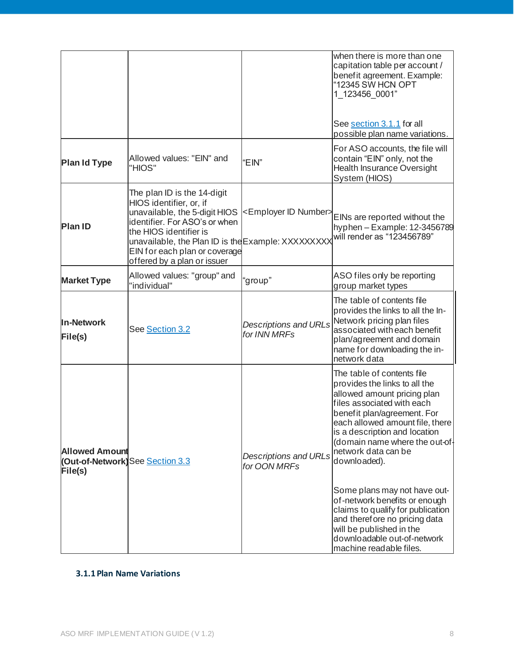|                                                                     |                                                                                                                                                                                                                                                                          |                                              | when there is more than one<br>capitation table per account /<br>benef it agreement. Example:<br>"12345 SW HCN OPT<br>1 123456 0001"                                                                                                                                                                                                                                                                                                                                                                                              |
|---------------------------------------------------------------------|--------------------------------------------------------------------------------------------------------------------------------------------------------------------------------------------------------------------------------------------------------------------------|----------------------------------------------|-----------------------------------------------------------------------------------------------------------------------------------------------------------------------------------------------------------------------------------------------------------------------------------------------------------------------------------------------------------------------------------------------------------------------------------------------------------------------------------------------------------------------------------|
|                                                                     |                                                                                                                                                                                                                                                                          |                                              | See section 3.1.1 for all<br>possible plan name variations.                                                                                                                                                                                                                                                                                                                                                                                                                                                                       |
| Plan Id Type                                                        | Allowed values: "EIN" and<br>"HIOS"                                                                                                                                                                                                                                      | "EIN"                                        | For ASO accounts, the file will<br>contain "EIN" only, not the<br><b>Health Insurance Oversight</b><br>System (HIOS)                                                                                                                                                                                                                                                                                                                                                                                                              |
| <b>Plan ID</b>                                                      | The plan ID is the 14-digit<br>HIOS identifier, or, if<br>unavailable, the 5-digit HIOS<br>identifier. For ASO's or when<br>the HIOS identifier is<br>unavailable, the Plan ID is the Example: XXXXXXXXX<br>EIN for each plan or coverage<br>offered by a plan or issuer | <employer id="" number=""></employer>        | EINs are reported without the<br>hyphen - Example: 12-3456789<br>will render as "123456789"                                                                                                                                                                                                                                                                                                                                                                                                                                       |
| <b>Market Type</b>                                                  | Allowed values: "group" and<br>"individual"                                                                                                                                                                                                                              | "group"                                      | ASO files only be reporting<br>group market types                                                                                                                                                                                                                                                                                                                                                                                                                                                                                 |
| <b>In-Network</b><br>File(s)                                        | See Section 3.2                                                                                                                                                                                                                                                          | <b>Descriptions and URLs</b><br>for INN MRFs | The table of contents file<br>provides the links to all the In-<br>Network pricing plan files<br>associated with each benefit<br>plan/agreement and domain<br>name for downloading the in-<br>network data                                                                                                                                                                                                                                                                                                                        |
| <b>Allowed Amount</b><br>(Out-of-Network)See Section 3.3<br>File(s) |                                                                                                                                                                                                                                                                          | <b>Descriptions and URLs</b><br>for OON MRFs | The table of contents file<br>provides the links to all the<br>allowed amount pricing plan<br>files associated with each<br>benefit plan/agreement. For<br>each allowed amount file, there<br>is a description and location<br>(domain name where the out-of-<br>network data can be<br>downloaded).<br>Some plans may not have out-<br>of-network benefits or enough<br>claims to qualify for publication<br>and therefore no pricing data<br>will be published in the<br>downloadable out-of-network<br>machine readable files. |

#### <span id="page-7-0"></span>**3.1.1 Plan Name Variations**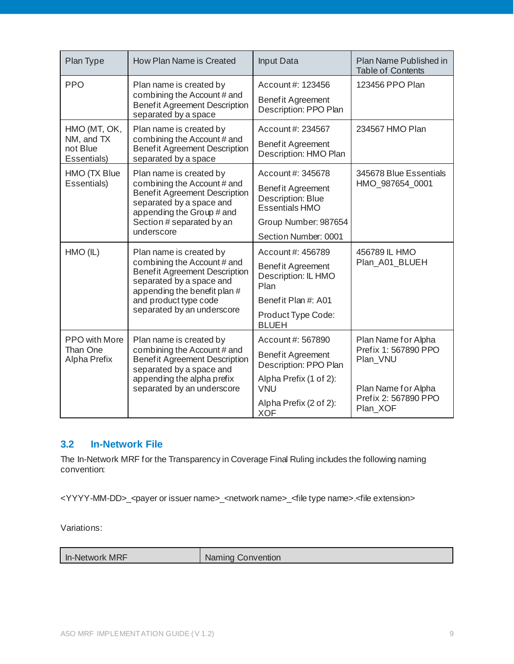| Plan Type                                                                                                                                   | How Plan Name is Created                                                                                                                                    | Input Data                                                             | Plan Name Published in<br>Table of Contents |
|---------------------------------------------------------------------------------------------------------------------------------------------|-------------------------------------------------------------------------------------------------------------------------------------------------------------|------------------------------------------------------------------------|---------------------------------------------|
| <b>PPO</b>                                                                                                                                  | Plan name is created by                                                                                                                                     | Account #: 123456                                                      | 123456 PPO Plan                             |
|                                                                                                                                             | combining the Account # and<br><b>Benefit Agreement Description</b><br>separated by a space                                                                 | <b>Benefit Agreement</b><br>Description: PPO Plan                      |                                             |
| HMO (MT, OK,                                                                                                                                | Plan name is created by                                                                                                                                     | Account #: 234567                                                      | 234567 HMO Plan                             |
| NM, and TX<br>not Blue<br>Essentials)                                                                                                       | combining the Account # and<br><b>Benefit Agreement Description</b><br>separated by a space                                                                 | <b>Benefit Agreement</b><br>Description: HMO Plan                      |                                             |
| HMO (TX Blue                                                                                                                                | Plan name is created by                                                                                                                                     | Account #: 345678                                                      | 345678 Blue Essentials                      |
| Essentials)<br>combining the Account # and<br><b>Benefit Agreement Description</b><br>separated by a space and<br>appending the Group # and |                                                                                                                                                             | <b>Benefit Agreement</b><br>Description: Blue<br><b>Essentials HMO</b> | HMO 987654 0001                             |
|                                                                                                                                             | Section # separated by an                                                                                                                                   | Group Number: 987654                                                   |                                             |
|                                                                                                                                             | underscore                                                                                                                                                  | Section Number: 0001                                                   |                                             |
| HMO (IL)                                                                                                                                    | Plan name is created by                                                                                                                                     | Account #: 456789                                                      | 456789 IL HMO                               |
|                                                                                                                                             | combining the Account # and<br><b>Benefit Agreement Description</b><br>separated by a space and<br>appending the benefit plan #                             | <b>Benefit Agreement</b><br>Description: IL HMO<br>Plan                | Plan_A01_BLUEH                              |
|                                                                                                                                             | and product type code                                                                                                                                       | Benefit Plan #: A01                                                    |                                             |
|                                                                                                                                             | separated by an underscore                                                                                                                                  | Product Type Code:<br><b>BLUEH</b>                                     |                                             |
| PPO with More                                                                                                                               | Plan name is created by                                                                                                                                     | Account #: 567890                                                      | Plan Name for Alpha                         |
| Than One<br>Alpha Prefix                                                                                                                    | combining the Account # and<br><b>Benefit Agreement Description</b><br>separated by a space and<br>appending the alpha prefix<br>separated by an underscore | <b>Benefit Agreement</b><br>Description: PPO Plan                      | Pref ix 1: 567890 PPO<br>Plan_VNU           |
|                                                                                                                                             |                                                                                                                                                             | Alpha Prefix (1 of 2):<br><b>VNU</b>                                   | Plan Name for Alpha                         |
|                                                                                                                                             |                                                                                                                                                             | Alpha Prefix (2 of 2):<br><b>XOF</b>                                   | Pref ix 2: 567890 PPO<br>Plan_XOF           |

### <span id="page-8-0"></span>**3.2 In-Network File**

The In-Network MRF for the Transparency in Coverage Final Ruling includes the following naming convention:

<YYYY-MM-DD>\_<payer or issuer name>\_<network name>\_<file type name>.<file extension>

Variations:

In-Network MRF Naming Convention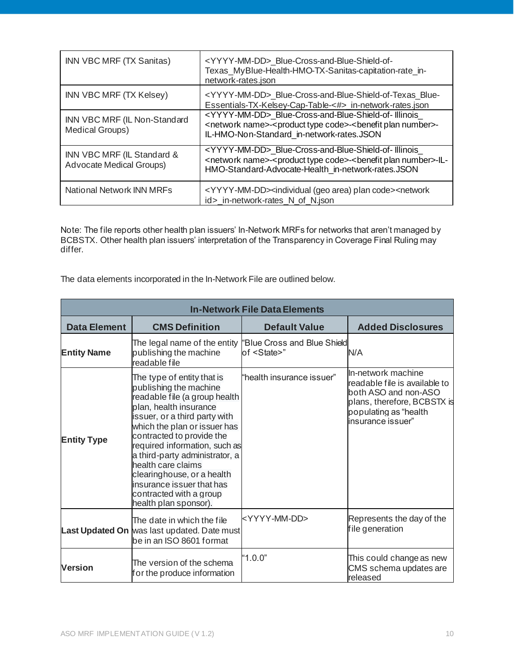| INN VBC MRF (TX Sanitas)                                      | <yyyy-mm-dd> Blue-Cross-and-Blue-Shield-of-<br/>Texas_MyBlue-Health-HMO-TX-Sanitas-capitation-rate_in-<br/>network-rates.json</yyyy-mm-dd>                                                                                            |
|---------------------------------------------------------------|---------------------------------------------------------------------------------------------------------------------------------------------------------------------------------------------------------------------------------------|
| INN VBC MRF (TX Kelsey)                                       | <yyyy-mm-dd> Blue-Cross-and-Blue-Shield-of-Texas Blue-<br/>Essentials-TX-Kelsey-Cap-Table-&lt;#&gt; in-network-rates.json</yyyy-mm-dd>                                                                                                |
| INN VBC MRF (IL Non-Standard<br>Medical Groups)               | <yyyy-mm-dd> Blue-Cross-and-Blue-Shield-of-Illinois<br/><network name="">-<product code="" type="">-<benefit number="" plan="">-<br/>IL-HMO-Non-Standard_in-network-rates.JSON</benefit></product></network></yyyy-mm-dd>             |
| INN VBC MRF (IL Standard &<br><b>Advocate Medical Groups)</b> | <yyyy-mm-dd> Blue-Cross-and-Blue-Shield-of-Illinois<br/><network name="">-<product code="" type="">-<benefit number="" plan="">-IL-<br/>HMO-Standard-Advocate-Health_in-network-rates.JSON</benefit></product></network></yyyy-mm-dd> |
| National Network INN MRFs                                     | <yyyy-mm-dd><individual (geo="" area)="" code="" plan=""><network<br>id&gt;_in-network-rates_N_of_N.json</network<br></individual></yyyy-mm-dd>                                                                                       |

Note: The file reports other health plan issuers' In-Network MRFs for networks that aren't managed by BCBSTX. Other health plan issuers' interpretation of the Transparency in Coverage Final Ruling may differ.

The data elements incorporated in the In-Network File are outlined below.

|                     | <b>In-Network File Data Elements</b>                                                                                                                                                                                                                                                                                                                                                                                  |                                                    |                                                                                                                                                          |  |  |  |
|---------------------|-----------------------------------------------------------------------------------------------------------------------------------------------------------------------------------------------------------------------------------------------------------------------------------------------------------------------------------------------------------------------------------------------------------------------|----------------------------------------------------|----------------------------------------------------------------------------------------------------------------------------------------------------------|--|--|--|
| <b>Data Element</b> | <b>CMS Definition</b>                                                                                                                                                                                                                                                                                                                                                                                                 | <b>Default Value</b>                               | <b>Added Disclosures</b>                                                                                                                                 |  |  |  |
| <b>Entity Name</b>  | The legal name of the entity<br>publishing the machine<br>readable file                                                                                                                                                                                                                                                                                                                                               | "Blue Cross and Blue Shield<br>of <state>"</state> | N/A                                                                                                                                                      |  |  |  |
| <b>Entity Type</b>  | The type of entity that is<br>publishing the machine<br>readable file (a group health<br>plan, health insurance<br>issuer, or a third party with<br>which the plan or issuer has<br>contracted to provide the<br>required information, such as<br>a third-party administrator, a<br>health care claims<br>clearinghouse, or a health<br>insurance issuer that has<br>contracted with a group<br>health plan sponsor). | "health insurance issuer"                          | In-network machine<br>readable file is available to<br>both ASO and non-ASO<br>plans, therefore, BCBSTX is<br>populating as "health<br>insurance issuer" |  |  |  |
|                     | The date in which the file<br>Last Updated On was last updated. Date must<br>be in an ISO 8601 format                                                                                                                                                                                                                                                                                                                 | <yyyy-mm-dd></yyyy-mm-dd>                          | Represents the day of the<br>file generation                                                                                                             |  |  |  |
| <b>Version</b>      | The version of the schema<br>for the produce information                                                                                                                                                                                                                                                                                                                                                              | "1.0.0"                                            | This could change as new<br>CMS schema updates are<br>released                                                                                           |  |  |  |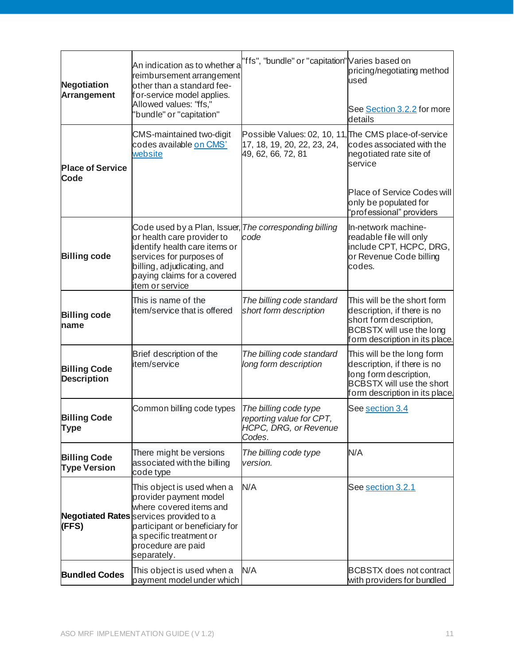| <b>Negotiation</b><br><b>Arrangement</b>   | An indication as to whether a<br>reimbursement arrangement<br>other than a standard fee-<br>for-service model applies.<br>Allowed values: "ffs,"<br>'bundle" or "capitation"                                                 | 'ffs", "bundle" or "capitation" Varies based on                                                            | pricing/negotiating method<br>used<br>See Section 3.2.2 for more<br>details                                                                               |
|--------------------------------------------|------------------------------------------------------------------------------------------------------------------------------------------------------------------------------------------------------------------------------|------------------------------------------------------------------------------------------------------------|-----------------------------------------------------------------------------------------------------------------------------------------------------------|
| <b>Place of Service</b><br><b>Code</b>     | CMS-maintained two-digit<br>codes available on CMS'<br>website                                                                                                                                                               | Possible Values: 02, 10, 11, The CMS place-of-service<br>17, 18, 19, 20, 22, 23, 24,<br>49, 62, 66, 72, 81 | codes associated with the<br>negotiated rate site of<br>service                                                                                           |
|                                            |                                                                                                                                                                                                                              |                                                                                                            | <b>Place of Service Codes will</b><br>only be populated for<br>'professional" providers                                                                   |
| <b>Billing code</b>                        | Code used by a Plan, Issuer,<br>or health care provider to<br>identify health care items or<br>services for purposes of<br>billing, adjudicating, and<br>paying claims for a covered<br>item or service                      | The corresponding billing<br>code                                                                          | In-network machine-<br>readable file will only<br>include CPT, HCPC, DRG,<br>or Revenue Code billing<br>codes.                                            |
| <b>Billing code</b><br>name                | This is name of the<br>item/service that is offered                                                                                                                                                                          | The billing code standard<br>short form description                                                        | This will be the short form<br>description, if there is no<br>short form description,<br>BCBSTX will use the long<br>form description in its place.       |
| <b>Billing Code</b><br><b>Description</b>  | Brief description of the<br>item/service                                                                                                                                                                                     | The billing code standard<br>long form description                                                         | This will be the long form<br>description, if there is no<br>long form description,<br><b>BCBSTX will use the short</b><br>form description in its place. |
| <b>Billing Code</b><br>Type                | Common billing code types                                                                                                                                                                                                    | The billing code type<br>reporting value for CPT,<br>HCPC, DRG, or Revenue<br>Codes.                       | See section 3.4                                                                                                                                           |
| <b>Billing Code</b><br><b>Type Version</b> | There might be versions<br>associated with the billing<br>code type                                                                                                                                                          | The billing code type<br>version.                                                                          | N/A                                                                                                                                                       |
| (FFS)                                      | This object is used when a<br>provider payment model<br>where covered items and<br>Negotiated Rates services provided to a<br>participant or beneficiary for<br>a specific treatment or<br>procedure are paid<br>separately. | N/A                                                                                                        | See section 3.2.1                                                                                                                                         |
| <b>Bundled Codes</b>                       | This object is used when a<br>payment model under which                                                                                                                                                                      | N/A                                                                                                        | <b>BCBSTX does not contract</b><br>with providers for bundled                                                                                             |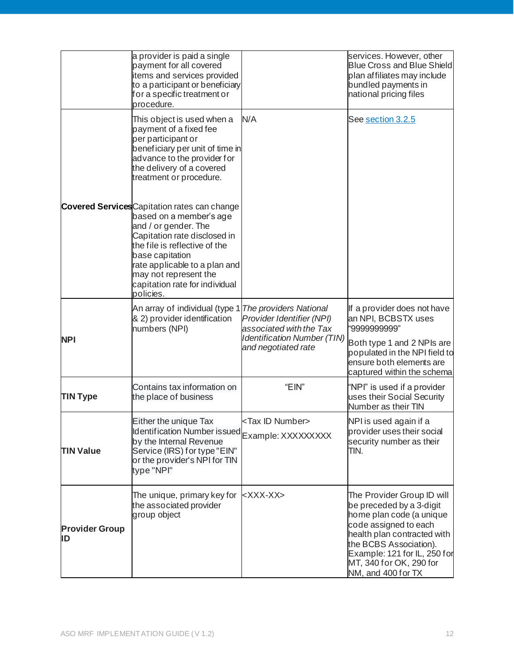|                             | a provider is paid a single<br>payment for all covered<br>items and services provided<br>to a participant or beneficiary<br>for a specific treatment or<br>procedure.                                                                                                                               |                                                                                     | services. However, other<br><b>Blue Cross and Blue Shield</b><br>plan affiliates may include<br>bundled payments in<br>national pricing files                                                                                                         |
|-----------------------------|-----------------------------------------------------------------------------------------------------------------------------------------------------------------------------------------------------------------------------------------------------------------------------------------------------|-------------------------------------------------------------------------------------|-------------------------------------------------------------------------------------------------------------------------------------------------------------------------------------------------------------------------------------------------------|
|                             | This object is used when a<br>payment of a fixed fee<br>per participant or<br>beneficiary per unit of time in<br>advance to the provider for<br>the delivery of a covered<br>treatment or procedure.                                                                                                | N/A                                                                                 | See <u>section 3.2.5</u>                                                                                                                                                                                                                              |
|                             | <b>Covered Services</b> Capitation rates can change<br>based on a member's age<br>and / or gender. The<br>Capitation rate disclosed in<br>the file is reflective of the<br>base capitation<br>rate applicable to a plan and<br>may not represent the<br>capitation rate for individual<br>policies. |                                                                                     |                                                                                                                                                                                                                                                       |
| <b>NPI</b>                  | An array of individual (type 1 The providers National<br>& 2) provider identification<br>numbers (NPI)                                                                                                                                                                                              | Provider Identifier (NPI)<br>associated with the Tax<br>Identification Number (TIN) | If a provider does not have<br>an NPI, BCBSTX uses<br>"9999999999"                                                                                                                                                                                    |
|                             |                                                                                                                                                                                                                                                                                                     | and negotiated rate                                                                 | Both type 1 and 2 NPIs are<br>populated in the NPI field to<br>ensure both elements are<br>captured within the schema                                                                                                                                 |
| <b>TIN Type</b>             | Contains tax information on<br>the place of business                                                                                                                                                                                                                                                | "EIN"                                                                               | "NPI" is used if a provider<br>uses their Social Security<br>Number as their TIN                                                                                                                                                                      |
| <b>TIN Value</b>            | Either the unique Tax<br>Identification Number issued Example: XXXXXXXXX<br>by the Internal Revenue<br>Service (IRS) for type "EIN"<br>or the provider's NPI for TIN<br>type "NPI"                                                                                                                  | <tax id="" number=""></tax>                                                         | NPI is used again if a<br>provider uses their social<br>security number as their<br>TIN.                                                                                                                                                              |
| <b>Provider Group</b><br>ID | The unique, primary key for<br>the associated provider<br>group object                                                                                                                                                                                                                              | <xxx-xx></xxx-xx>                                                                   | The Provider Group ID will<br>be preceded by a 3-digit<br>home plan code (a unique<br>code assigned to each<br>health plan contracted with<br>the BCBS Association).<br>Example: 121 for IL, 250 for<br>MT, 340 for OK, 290 for<br>NM, and 400 for TX |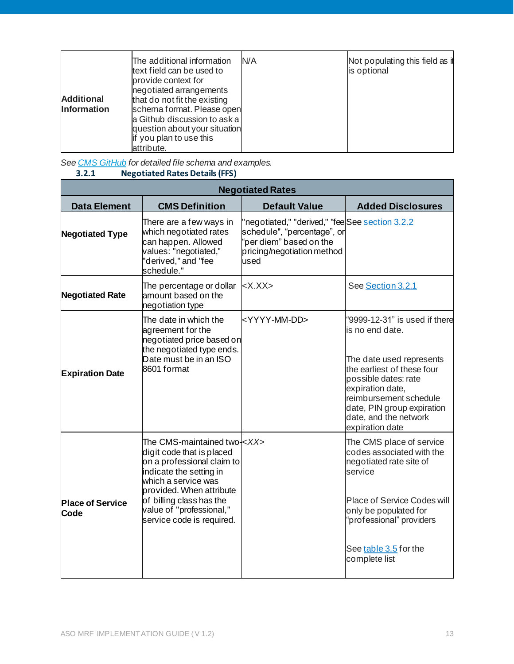| <b>Additional</b><br><b>Information</b> | The additional information<br>text field can be used to<br>provide context for<br>negotiated arrangements<br>that do not fit the existing<br>schema format. Please open<br>a Github discussion to ask a<br>question about your situation<br>if you plan to use this<br>attribute. | N/A | Not populating this field as it<br>is optional |
|-----------------------------------------|-----------------------------------------------------------------------------------------------------------------------------------------------------------------------------------------------------------------------------------------------------------------------------------|-----|------------------------------------------------|
|-----------------------------------------|-----------------------------------------------------------------------------------------------------------------------------------------------------------------------------------------------------------------------------------------------------------------------------------|-----|------------------------------------------------|

<span id="page-12-0"></span>*See [CMS GitHub](https://github.com/CMSgov/price-transparency-guide) for detailed file schema and examples.* **3.2.1 Negotiated Rates Details (FFS)**

| <b>Negotiated Rates</b>         |                                                                                                                                                                                                                                                             |                                                                                                                                                 |                                                                                                                                                                                                                                                            |  |  |
|---------------------------------|-------------------------------------------------------------------------------------------------------------------------------------------------------------------------------------------------------------------------------------------------------------|-------------------------------------------------------------------------------------------------------------------------------------------------|------------------------------------------------------------------------------------------------------------------------------------------------------------------------------------------------------------------------------------------------------------|--|--|
| <b>Data Element</b>             | <b>CMS Definition</b>                                                                                                                                                                                                                                       | <b>Default Value</b>                                                                                                                            | <b>Added Disclosures</b>                                                                                                                                                                                                                                   |  |  |
| <b>Negotiated Type</b>          | There are a few ways in<br>which negotiated rates<br>can happen. Allowed<br>values: "negotiated,"<br>'derived," and "fee<br>schedule."                                                                                                                      | 'negotiated," "derived," "fee See section 3.2.2<br>schedule", "percentage", or<br>'per diem" based on the<br>pricing/negotiation method<br>used |                                                                                                                                                                                                                                                            |  |  |
| <b>Negotiated Rate</b>          | The percentage or dollar<br>amount based on the<br>negotiation type                                                                                                                                                                                         | $<$ X.XX $>$                                                                                                                                    | See Section 3.2.1                                                                                                                                                                                                                                          |  |  |
| <b>Expiration Date</b>          | The date in which the<br>agreement for the<br>negotiated price based on<br>the negotiated type ends.<br>Date must be in an ISO<br>8601 format                                                                                                               | <yyyy-mm-dd></yyyy-mm-dd>                                                                                                                       | "9999-12-31" is used if there<br>is no end date.<br>The date used represents<br>the earliest of these four<br>possible dates: rate<br>expiration date,<br>reimbursement schedule<br>date, PIN group expiration<br>date, and the network<br>expiration date |  |  |
| <b>Place of Service</b><br>Code | The CMS-maintained two- < XX><br>digit code that is placed<br>on a professional claim to<br>indicate the setting in<br>which a service was<br>provided. When attribute<br>of billing class has the<br>value of "professional,"<br>service code is required. |                                                                                                                                                 | The CMS place of service<br>codes associated with the<br>negotiated rate site of<br>service<br>Place of Service Codes will<br>only be populated for<br>"professional" providers<br>See table 3.5 for the<br>complete list                                  |  |  |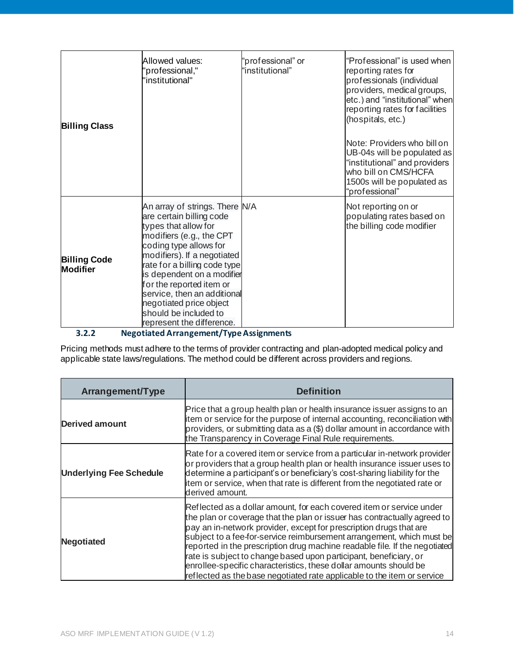| <b>Billing Class</b>                   | Allowed values:<br>'professional,"<br>'institutional"                                                                                                                                                                                                                                                                                                                             | "professional" or<br>"institutional" | "Professional" is used when<br>reporting rates for<br>professionals (individual<br>providers, medical groups,<br>etc.) and "institutional" when<br>reporting rates for facilities<br>(hospitals, etc.)<br>Note: Providers who bill on<br>UB-04s will be populated as<br>"institutional" and providers<br>who bill on CMS/HCFA<br>1500s will be populated as<br>"professional" |
|----------------------------------------|-----------------------------------------------------------------------------------------------------------------------------------------------------------------------------------------------------------------------------------------------------------------------------------------------------------------------------------------------------------------------------------|--------------------------------------|-------------------------------------------------------------------------------------------------------------------------------------------------------------------------------------------------------------------------------------------------------------------------------------------------------------------------------------------------------------------------------|
| <b>Billing Code</b><br><b>Modifier</b> | An array of strings. There N/A<br>are certain billing code<br>types that allow for<br>modifiers (e.g., the CPT<br>coding type allows for<br>modifiers). If a negotiated<br>rate for a billing code type<br>is dependent on a modifier<br>for the reported item or<br>service, then an additional<br>negotiated price object<br>should be included to<br>represent the difference. |                                      | Not reporting on or<br>populating rates based on<br>the billing code modifier                                                                                                                                                                                                                                                                                                 |

<span id="page-13-0"></span>**3.2.2 Negotiated Arrangement/Type Assignments**

Pricing methods must adhere to the terms of provider contracting and plan-adopted medical policy and applicable state laws/regulations. The method could be different across providers and regions.

| <b>Arrangement/Type</b>        | <b>Definition</b>                                                                                                                                                                                                                                                                                                                                                                                                                                                                                                                                                                                  |
|--------------------------------|----------------------------------------------------------------------------------------------------------------------------------------------------------------------------------------------------------------------------------------------------------------------------------------------------------------------------------------------------------------------------------------------------------------------------------------------------------------------------------------------------------------------------------------------------------------------------------------------------|
| <b>Derived amount</b>          | Price that a group health plan or health insurance issuer assigns to an<br>item or service for the purpose of internal accounting, reconciliation with<br>providers, or submitting data as a (\$) dollar amount in accordance with<br>the Transparency in Coverage Final Rule requirements.                                                                                                                                                                                                                                                                                                        |
| <b>Underlying Fee Schedule</b> | Rate for a covered item or service from a particular in-network provider<br>or providers that a group health plan or health insurance issuer uses to<br>determine a participant's or beneficiary's cost-sharing liability for the<br>item or service, when that rate is different from the negotiated rate or<br>derived amount.                                                                                                                                                                                                                                                                   |
| <b>Negotiated</b>              | Reflected as a dollar amount, for each covered item or service under<br>the plan or coverage that the plan or issuer has contractually agreed to<br>pay an in-network provider, except for prescription drugs that are<br>subject to a fee-for-service reimbursement arrangement, which must be<br>reported in the prescription drug machine readable file. If the negotiated<br>rate is subject to change based upon participant, beneficiary, or<br>enrollee-specific characteristics, these dollar amounts should be<br>reflected as the base negotiated rate applicable to the item or service |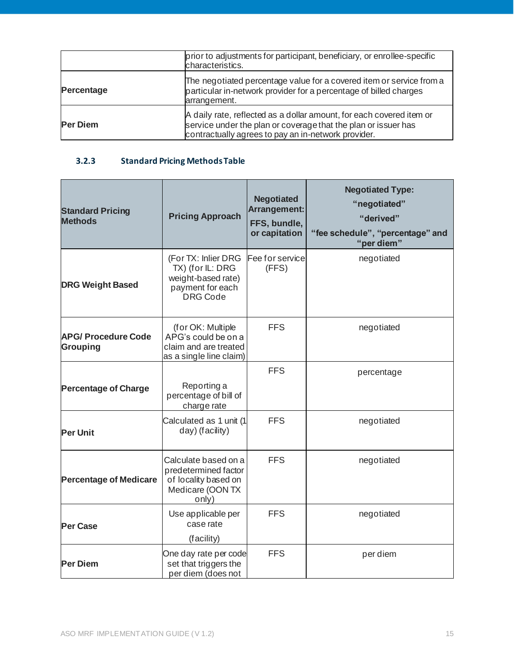|                 | prior to adjustments for participant, beneficiary, or enrollee-specific<br>characteristics.                                                                                                   |
|-----------------|-----------------------------------------------------------------------------------------------------------------------------------------------------------------------------------------------|
| Percentage      | The negotiated percentage value for a covered item or service from a<br>particular in-network provider for a percentage of billed charges<br>arrangement.                                     |
| <b>Per Diem</b> | A daily rate, reflected as a dollar amount, for each covered item or<br>service under the plan or coverage that the plan or issuer has<br>contractually agrees to pay an in-network provider. |

# <span id="page-14-0"></span>**3.2.3 Standard Pricing Methods Table**

| <b>Standard Pricing</b><br><b>Methods</b>     | <b>Pricing Approach</b>                                                                              | <b>Negotiated</b><br>Arrangement:<br>FFS, bundle,<br>or capitation | <b>Negotiated Type:</b><br>"negotiated"<br>"derived"<br>"fee schedule", "percentage" and<br>"per diem" |
|-----------------------------------------------|------------------------------------------------------------------------------------------------------|--------------------------------------------------------------------|--------------------------------------------------------------------------------------------------------|
| <b>DRG Weight Based</b>                       | (For TX: Inlier DRG<br>TX) (for IL: DRG<br>weight-based rate)<br>payment for each<br><b>DRG Code</b> | Fee for service<br>(FFS)                                           | negotiated                                                                                             |
| <b>APG/ Procedure Code</b><br><b>Grouping</b> | (for OK: Multiple<br>APG's could be on a<br>claim and are treated<br>as a single line claim)         | <b>FFS</b>                                                         | negotiated                                                                                             |
| <b>Percentage of Charge</b>                   | Reporting a<br>percentage of bill of<br>charge rate                                                  | <b>FFS</b>                                                         | percentage                                                                                             |
| <b>Per Unit</b>                               | Calculated as 1 unit (1<br>day) (facility)                                                           | <b>FFS</b>                                                         | negotiated                                                                                             |
| <b>Percentage of Medicare</b>                 | Calculate based on a<br>predetermined factor<br>of locality based on<br>Medicare (OON TX<br>only)    | <b>FFS</b>                                                         | negotiated                                                                                             |
| <b>Per Case</b>                               | Use applicable per<br>case rate<br>(facility)                                                        | <b>FFS</b>                                                         | negotiated                                                                                             |
| <b>Per Diem</b>                               | One day rate per code<br>set that triggers the<br>per diem (does not                                 | <b>FFS</b>                                                         | per diem                                                                                               |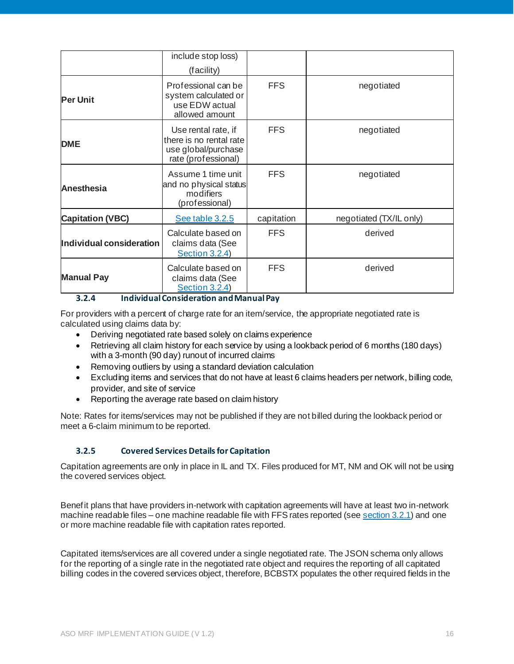|                          | include stop loss)<br>(facility)                                                             |            |                         |
|--------------------------|----------------------------------------------------------------------------------------------|------------|-------------------------|
| <b>Per Unit</b>          | Professional can be<br>system calculated or<br>use EDW actual<br>allowed amount              | <b>FFS</b> | negotiated              |
| <b>DME</b>               | Use rental rate, if<br>there is no rental rate<br>use global/purchase<br>rate (professional) | <b>FFS</b> | negotiated              |
| <b>Anesthesia</b>        | Assume 1 time unit<br>and no physical status<br>modifiers<br>(professional)                  | <b>FFS</b> | negotiated              |
| <b>Capitation (VBC)</b>  | See table 3.2.5                                                                              | capitation | negotiated (TX/IL only) |
| Individual consideration | Calculate based on<br>claims data (See<br>Section 3.2.4)                                     | <b>FFS</b> | derived                 |
| <b>Manual Pay</b>        | Calculate based on<br>claims data (See<br>Section 3.2.4)                                     | <b>FFS</b> | derived                 |

#### **3.2.4 Individual Consideration and Manual Pay**

<span id="page-15-0"></span>For providers with a percent of charge rate for an item/service, the appropriate negotiated rate is calculated using claims data by:

- Deriving negotiated rate based solely on claims experience
- Retrieving all claim history for each service by using a lookback period of 6 months (180 days) with a 3-month (90 day) runout of incurred claims
- Removing outliers by using a standard deviation calculation
- Excluding items and services that do not have at least 6 claims headers per network, billing code, provider, and site of service
- Reporting the average rate based on claim history

Note: Rates for items/services may not be published if they are not billed during the lookback period or meet a 6-claim minimum to be reported.

#### **3.2.5 Covered Services Details for Capitation**

<span id="page-15-1"></span>Capitation agreements are only in place in IL and TX. Files produced for MT, NM and OK will not be using the covered services object.

Benefit plans that have providers in-network with capitation agreements will have at least two in-network machine readable files – one machine readable file with FFS rates reported (se[e section 3.2.1](#page-12-0)) and one or more machine readable file with capitation rates reported.

Capitated items/services are all covered under a single negotiated rate. The JSON schema only allows for the reporting of a single rate in the negotiated rate object and requires the reporting of all capitated billing codes in the covered services object, therefore, BCBSTX populates the other required fields in the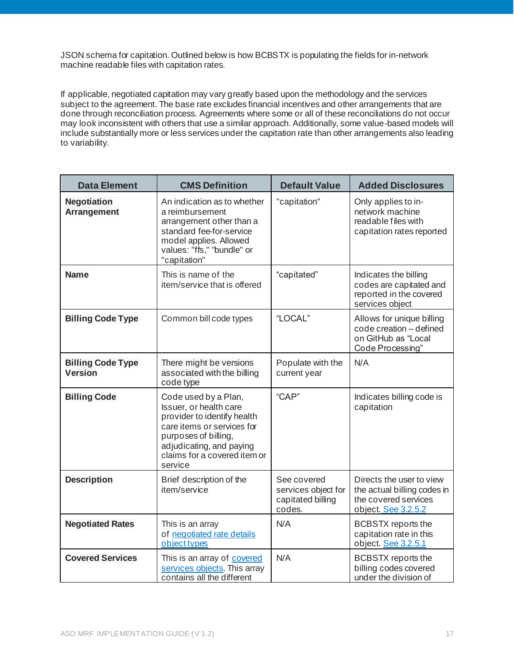JSON schema for capitation. Outlined below is how BCBSTX is populating the fields for in-network machine readable files with capitation rates.

If applicable, negotiated capitation may vary greatly based upon the methodology and the services subject to the agreement. The base rate excludes financial incentives and other arrangements that are done through reconciliation process. Agreements where some or all of these reconciliations do not occur may look inconsistent with others that use a similar approach. Additionally, some value-based models will include substantially more or less services under the capitation rate than other arrangements also leading to variability.

| <b>Data Element</b>                        | <b>CMS Definition</b>                                                                                                                                                                                      | <b>Default Value</b>                                              | <b>Added Disclosures</b>                                                                               |
|--------------------------------------------|------------------------------------------------------------------------------------------------------------------------------------------------------------------------------------------------------------|-------------------------------------------------------------------|--------------------------------------------------------------------------------------------------------|
| <b>Negotiation</b><br>Arrangement          | An indication as to whether<br>a reimbursement<br>arrangement other than a<br>standard fee-for-service<br>model applies. Allowed<br>values: "ffs," "bundle" or<br>"capitation"                             | "capitation"                                                      | Only applies to in-<br>network machine<br>readable files with<br>capitation rates reported             |
| <b>Name</b>                                | This is name of the<br>item/service that is offered                                                                                                                                                        | "capitated"                                                       | Indicates the billing<br>codes are capitated and<br>reported in the covered<br>services object         |
| <b>Billing Code Type</b>                   | Common bill code types                                                                                                                                                                                     | "LOCAL"                                                           | Allows for unique billing<br>code creation - defined<br>on GitHub as "Local<br>Code Processing"        |
| <b>Billing Code Type</b><br><b>Version</b> | There might be versions<br>associated with the billing<br>code type                                                                                                                                        | Populate with the<br>current year                                 | N/A                                                                                                    |
| <b>Billing Code</b>                        | Code used by a Plan,<br>Issuer, or health care<br>provider to identify health<br>care items or services for<br>purposes of billing,<br>adjudicating, and paying<br>claims for a covered item or<br>service | "CAP"                                                             | Indicates billing code is<br>capitation                                                                |
| <b>Description</b>                         | Brief description of the<br>item/service                                                                                                                                                                   | See covered<br>services object for<br>capitated billing<br>codes. | Directs the user to view<br>the actual billing codes in<br>the covered services<br>object. See 3.2.5.2 |
| <b>Negotiated Rates</b>                    | This is an array<br>of negotiated rate details<br>object types                                                                                                                                             | N/A                                                               | <b>BCBSTX</b> reports the<br>capitation rate in this<br>object. See 3.2.5.1                            |
| <b>Covered Services</b>                    | This is an array of covered<br>services objects. This array<br>contains all the different                                                                                                                  | N/A                                                               | <b>BCBSTX</b> reports the<br>billing codes covered<br>under the division of                            |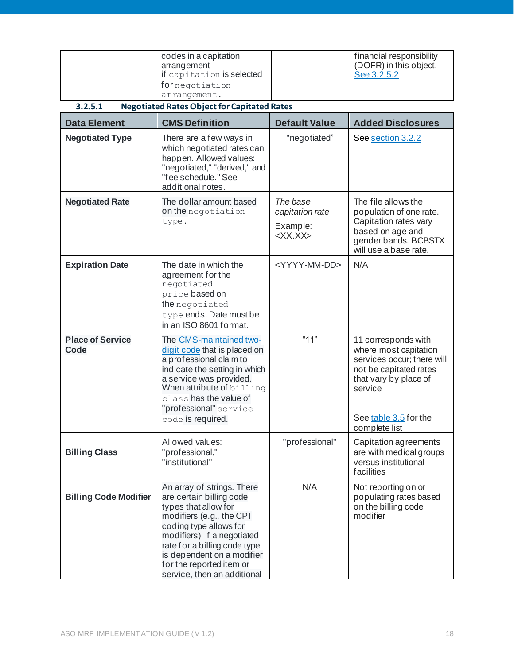<span id="page-17-0"></span>

|                                 | codes in a capitation                                                                                                                                                                                                                                                                        |                           | financial responsibility                                                                                                                 |
|---------------------------------|----------------------------------------------------------------------------------------------------------------------------------------------------------------------------------------------------------------------------------------------------------------------------------------------|---------------------------|------------------------------------------------------------------------------------------------------------------------------------------|
|                                 | arrangement                                                                                                                                                                                                                                                                                  |                           | (DOFR) in this object.                                                                                                                   |
|                                 | if capitation is selected                                                                                                                                                                                                                                                                    |                           | See 3.2.5.2                                                                                                                              |
|                                 | fornegotiation<br>arrangement.                                                                                                                                                                                                                                                               |                           |                                                                                                                                          |
| 3.2.5.1                         | <b>Negotiated Rates Object for Capitated Rates</b>                                                                                                                                                                                                                                           |                           |                                                                                                                                          |
|                                 |                                                                                                                                                                                                                                                                                              |                           |                                                                                                                                          |
| <b>Data Element</b>             | <b>CMS Definition</b>                                                                                                                                                                                                                                                                        | <b>Default Value</b>      | <b>Added Disclosures</b>                                                                                                                 |
| <b>Negotiated Type</b>          | There are a few ways in<br>which negotiated rates can<br>happen. Allowed values:<br>"negotiated," "derived," and<br>"fee schedule." See<br>additional notes.                                                                                                                                 | "negotiated"              | See section 3.2.2                                                                                                                        |
| <b>Negotiated Rate</b>          | The dollar amount based                                                                                                                                                                                                                                                                      | The base                  | The file allows the                                                                                                                      |
|                                 | on the negotiation                                                                                                                                                                                                                                                                           | capitation rate           | population of one rate.                                                                                                                  |
|                                 | type.                                                                                                                                                                                                                                                                                        | Example:                  | Capitation rates vary<br>based on age and                                                                                                |
|                                 |                                                                                                                                                                                                                                                                                              | $\langle$ XX.XX $>$       | gender bands. BCBSTX                                                                                                                     |
|                                 |                                                                                                                                                                                                                                                                                              |                           | will use a base rate.                                                                                                                    |
| <b>Expiration Date</b>          | The date in which the                                                                                                                                                                                                                                                                        | <yyyy-mm-dd></yyyy-mm-dd> | N/A                                                                                                                                      |
|                                 | agreement for the                                                                                                                                                                                                                                                                            |                           |                                                                                                                                          |
|                                 | negotiated<br>price based on                                                                                                                                                                                                                                                                 |                           |                                                                                                                                          |
|                                 | the negotiated                                                                                                                                                                                                                                                                               |                           |                                                                                                                                          |
|                                 | type ends. Date must be                                                                                                                                                                                                                                                                      |                           |                                                                                                                                          |
|                                 | in an ISO 8601 format.                                                                                                                                                                                                                                                                       |                           |                                                                                                                                          |
| <b>Place of Service</b><br>Code | The CMS-maintained two-<br>digit code that is placed on<br>a professional claim to<br>indicate the setting in which<br>a service was provided.<br>When attribute of billing<br>class has the value of                                                                                        | "11"                      | 11 corresponds with<br>where most capitation<br>services occur; there will<br>not be capitated rates<br>that vary by place of<br>service |
|                                 | "professional" service                                                                                                                                                                                                                                                                       |                           |                                                                                                                                          |
|                                 | code is required.                                                                                                                                                                                                                                                                            |                           | See table 3.5 for the<br>complete list                                                                                                   |
| <b>Billing Class</b>            | Allowed values:<br>"professional,"<br>"institutional"                                                                                                                                                                                                                                        | "professional"            | Capitation agreements<br>are with medical groups<br>versus institutional<br>facilities                                                   |
| <b>Billing Code Modifier</b>    | An array of strings. There<br>are certain billing code<br>types that allow for<br>modifiers (e.g., the CPT<br>coding type allows for<br>modifiers). If a negotiated<br>rate for a billing code type<br>is dependent on a modifier<br>for the reported item or<br>service, then an additional | N/A                       | Not reporting on or<br>populating rates based<br>on the billing code<br>modifier                                                         |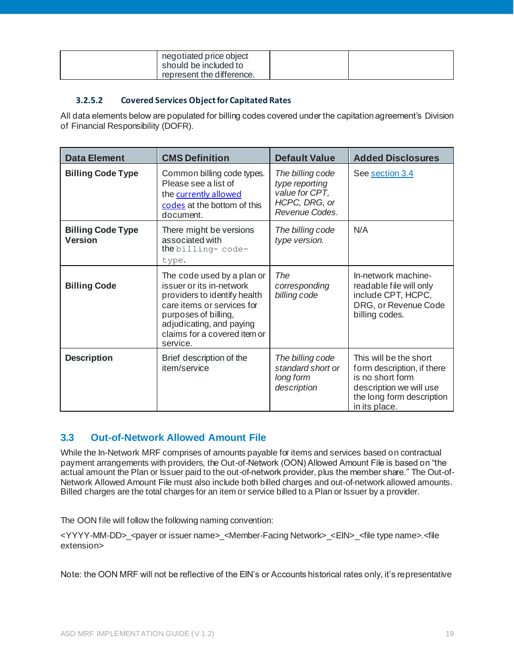| negotiated price object<br>should be included to<br>represent the difference. |  |
|-------------------------------------------------------------------------------|--|
|                                                                               |  |

#### **3.2.5.2 Covered Services Object for Capitated Rates**

<span id="page-18-0"></span>All data elements below are populated for billing codes covered under the capitation agreement's Division of Financial Responsibility (DOFR).

| <b>Data Element</b>                        | <b>CMS Definition</b>                                                                                                                                                                                                | <b>Default Value</b>                                                                    | <b>Added Disclosures</b>                                                                                                                          |
|--------------------------------------------|----------------------------------------------------------------------------------------------------------------------------------------------------------------------------------------------------------------------|-----------------------------------------------------------------------------------------|---------------------------------------------------------------------------------------------------------------------------------------------------|
| <b>Billing Code Type</b>                   | Common billing code types.<br>Please see a list of<br>the currently allowed<br>codes at the bottom of this<br>document.                                                                                              | The billing code<br>type reporting<br>value for CPT,<br>HCPC, DRG, or<br>Revenue Codes. | See section 3.4                                                                                                                                   |
| <b>Billing Code Type</b><br><b>Version</b> | There might be versions<br>associated with<br>the billing-code-<br>type.                                                                                                                                             | The billing code<br>type version.                                                       | N/A                                                                                                                                               |
| <b>Billing Code</b>                        | The code used by a plan or<br>issuer or its in-network<br>providers to identify health<br>care items or services for<br>purposes of billing,<br>adjudicating, and paying<br>claims for a covered item or<br>service. | The<br>corresponding<br>billing code                                                    | In-network machine-<br>readable file will only<br>include CPT, HCPC,<br>DRG, or Revenue Code<br>billing codes.                                    |
| <b>Description</b>                         | Brief description of the<br>item/service                                                                                                                                                                             | The billing code<br>standard short or<br>long form<br>description                       | This will be the short<br>form description, if there<br>is no short form<br>description we will use<br>the long form description<br>in its place. |

# <span id="page-18-1"></span>**3.3 Out-of-Network Allowed Amount File**

While the In-Network MRF comprises of amounts payable for items and services based on contractual payment arrangements with providers, the Out-of-Network (OON) Allowed Amount File is based on "the actual amount the Plan or Issuer paid to the out-of-network provider, plus the member share." The Out-of-Network Allowed Amount File must also include both billed charges and out-of-network allowed amounts. Billed charges are the total charges for an item or service billed to a Plan or Issuer by a provider.

The OON file will follow the following naming convention:

<YYYY-MM-DD>\_<payer or issuer name>\_<Member-Facing Network>\_<EIN>\_<file type name>.<file extension>

Note: the OON MRF will not be reflective of the EIN's or Accounts historical rates only, it's representative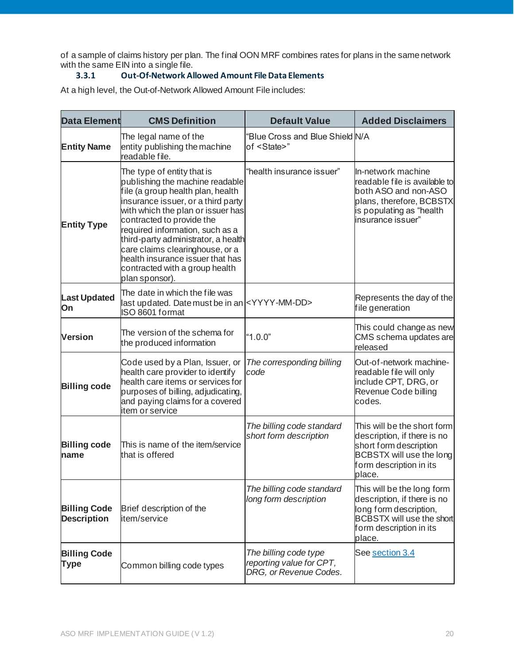of a sample of claims history per plan. The final OON MRF combines rates for plans in the same network with the same EIN into a single file.

## **3.3.1 Out-Of-Network Allowed Amount File Data Elements**

<span id="page-19-0"></span>At a high level, the Out-of-Network Allowed Amount File includes:

| <b>Data Element</b>                       | <b>CMS Definition</b>                                                                                                                                                                                                                                                                                                                                                                                           | <b>Default Value</b>                                                        | <b>Added Disclaimers</b>                                                                                                                                     |
|-------------------------------------------|-----------------------------------------------------------------------------------------------------------------------------------------------------------------------------------------------------------------------------------------------------------------------------------------------------------------------------------------------------------------------------------------------------------------|-----------------------------------------------------------------------------|--------------------------------------------------------------------------------------------------------------------------------------------------------------|
| <b>Entity Name</b>                        | The legal name of the<br>entity publishing the machine<br>readable file.                                                                                                                                                                                                                                                                                                                                        | "Blue Cross and Blue Shield N/A<br>of <state>"</state>                      |                                                                                                                                                              |
| <b>Entity Type</b>                        | The type of entity that is<br>publishing the machine readable<br>file (a group health plan, health<br>insurance issuer, or a third party<br>with which the plan or issuer has<br>contracted to provide the<br>required information, such as a<br>third-party administrator, a health<br>care claims clearinghouse, or a<br>health insurance issuer that has<br>contracted with a group health<br>plan sponsor). | "health insurance issuer"                                                   | In-network machine<br>readable file is available to<br>both ASO and non-ASO<br>plans, therefore, BCBSTX<br>s populating as "health<br>insurance issuer"      |
| <b>Last Updated</b><br>On                 | The date in which the file was<br>last updated. Date must be in an <yyyy-mm-dd><br/>ISO 8601 format</yyyy-mm-dd>                                                                                                                                                                                                                                                                                                |                                                                             | Represents the day of the<br>file generation                                                                                                                 |
| <b>Version</b>                            | The version of the schema for<br>the produced information                                                                                                                                                                                                                                                                                                                                                       | "1.0.0"                                                                     | This could change as new<br>CMS schema updates are<br>released                                                                                               |
| <b>Billing code</b>                       | Code used by a Plan, Issuer, or<br>health care provider to identify<br>health care items or services for<br>purposes of billing, adjudicating,<br>and paying claims for a covered<br>item or service                                                                                                                                                                                                            | The corresponding billing<br>code                                           | Out-of-network machine-<br>readable file will only<br>include CPT, DRG, or<br>Revenue Code billing<br>codes.                                                 |
| <b>Billing code</b><br>name               | This is name of the item/service<br>that is offered                                                                                                                                                                                                                                                                                                                                                             | The billing code standard<br>short form description                         | This will be the short form<br>description, if there is no<br>short form description<br>BCBSTX will use the long<br>form description in its<br>place.        |
| <b>Billing Code</b><br><b>Description</b> | Brief description of the<br>item/service                                                                                                                                                                                                                                                                                                                                                                        | The billing code standard<br>long form description                          | This will be the long form<br>description, if there is no<br>long form description,<br><b>BCBSTX will use the short</b><br>form description in its<br>place. |
| <b>Billing Code</b><br><b>Type</b>        | Common billing code types                                                                                                                                                                                                                                                                                                                                                                                       | The billing code type<br>reporting value for CPT,<br>DRG, or Revenue Codes. | See section 3.4                                                                                                                                              |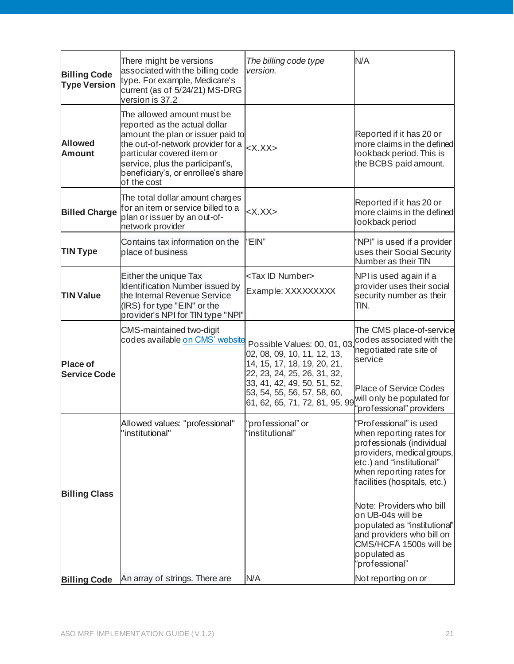| <b>Billing Code</b><br><b>Type Version</b> | There might be versions<br>associated with the billing code<br>type. For example, Medicare's<br>current (as of 5/24/21) MS-DRG<br>version is 37.2                                                                                                            | The billing code type<br>version.                                                                                                                                                                                                                   | N/A                                                                                                                                                                                                                                                                                                                                                                              |
|--------------------------------------------|--------------------------------------------------------------------------------------------------------------------------------------------------------------------------------------------------------------------------------------------------------------|-----------------------------------------------------------------------------------------------------------------------------------------------------------------------------------------------------------------------------------------------------|----------------------------------------------------------------------------------------------------------------------------------------------------------------------------------------------------------------------------------------------------------------------------------------------------------------------------------------------------------------------------------|
| <b>Allowed</b><br><b>Amount</b>            | The allowed amount must be<br>reported as the actual dollar<br>amount the plan or issuer paid to<br>the out-of-network provider for a<br>particular covered item or<br>service, plus the participant's,<br>beneficiary's, or enrollee's share<br>of the cost | $<$ X.XX $>$                                                                                                                                                                                                                                        | Reported if it has 20 or<br>more claims in the defined<br>lookback period. This is<br>the BCBS paid amount.                                                                                                                                                                                                                                                                      |
| <b>Billed Charge</b>                       | The total dollar amount charges<br>for an item or service billed to a<br>plan or issuer by an out-of-<br>network provider                                                                                                                                    | $<$ X.XX $>$                                                                                                                                                                                                                                        | Reported if it has 20 or<br>more claims in the defined<br>lookback period                                                                                                                                                                                                                                                                                                        |
| <b>TIN Type</b>                            | Contains tax information on the<br>place of business                                                                                                                                                                                                         | "EIN"                                                                                                                                                                                                                                               | "NPI" is used if a provider<br>uses their Social Security<br>Number as their TIN                                                                                                                                                                                                                                                                                                 |
| <b>TIN Value</b>                           | Either the unique Tax<br><b>Identification Number issued by</b><br>the Internal Revenue Service<br>(IRS) for type "EIN" or the<br>provider's NPI for TIN type "NPI"                                                                                          | <tax id="" number=""><br/>Example: XXXXXXXXX</tax>                                                                                                                                                                                                  | NPI is used again if a<br>provider uses their social<br>security number as their<br>TIN.                                                                                                                                                                                                                                                                                         |
| <b>Place of</b><br><b>Service Code</b>     | CMS-maintained two-digit<br>codes available on CMS' website                                                                                                                                                                                                  | Possible Values: 00, 01, 03<br>02, 08, 09, 10, 11, 12, 13,<br>14, 15, 17, 18, 19, 20, 21,<br>22, 23, 24, 25, 26, 31, 32,<br>33, 41, 42, 49, 50, 51, 52,<br>53, 54, 55, 56, 57, 58, 60,<br>61, 62, 65, 71, 72, 81, 95, 99 will only be populated for | The CMS place-of-service<br>codes associated with the<br>negotiated rate site of<br>service<br><b>Place of Service Codes</b><br>"professional" providers                                                                                                                                                                                                                         |
| <b>Billing Class</b>                       | Allowed values: "professional"<br>"institutional"                                                                                                                                                                                                            | "professional" or<br>"institutional"                                                                                                                                                                                                                | "Professional" is used<br>when reporting rates for<br>professionals (individual<br>providers, medical groups,<br>etc.) and "institutional"<br>when reporting rates for<br>facilities (hospitals, etc.)<br>Note: Providers who bill<br>on UB-04s will be<br>populated as "institutional"<br>and providers who bill on<br>CMS/HCFA 1500s will be<br>populated as<br>'professional" |
| <b>Billing Code</b>                        | An array of strings. There are                                                                                                                                                                                                                               | N/A                                                                                                                                                                                                                                                 | Not reporting on or                                                                                                                                                                                                                                                                                                                                                              |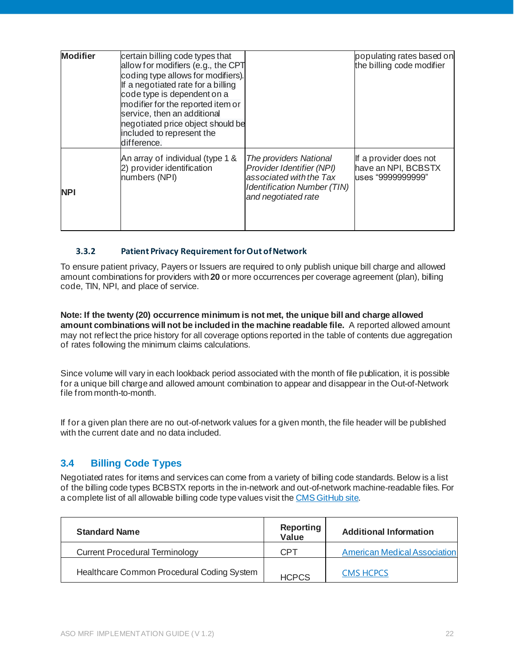| <b>Modifier</b> | certain billing code types that<br>allow for modifiers (e.g., the CPT<br>coding type allows for modifiers).<br>If a negotiated rate for a billing<br>code type is dependent on a<br>modifier for the reported item or<br>service, then an additional<br>negotiated price object should be<br>included to represent the<br>difference. |                                                                                                                                             | populating rates based on<br>the billing code modifier             |
|-----------------|---------------------------------------------------------------------------------------------------------------------------------------------------------------------------------------------------------------------------------------------------------------------------------------------------------------------------------------|---------------------------------------------------------------------------------------------------------------------------------------------|--------------------------------------------------------------------|
| <b>NPI</b>      | An array of individual (type 1 &<br>2) provider identification<br>numbers (NPI)                                                                                                                                                                                                                                                       | The providers National<br>Provider Identifier (NPI)<br>associated with the Tax<br><b>Identification Number (TIN)</b><br>and negotiated rate | If a provider does not<br>have an NPI, BCBSTX<br>uses "9999999999" |

#### <span id="page-21-0"></span>**3.3.2 Patient Privacy Requirement for Out of Network**

To ensure patient privacy, Payers or Issuers are required to only publish unique bill charge and allowed amount combinations for providers with **20** or more occurrences per coverage agreement (plan), billing code, TIN, NPI, and place of service.

**Note: If the twenty (20) occurrence minimum is not met, the unique bill and charge allowed amount combinations will not be included in the machine readable file.** A reported allowed amount may not reflect the price history for all coverage options reported in the table of contents due aggregation of rates following the minimum claims calculations.

Since volume will vary in each lookback period associated with the month of file publication, it is possible for a unique bill charge and allowed amount combination to appear and disappear in the Out-of-Network file from month-to-month.

If for a given plan there are no out-of-network values for a given month, the file header will be published with the current date and no data included.

## <span id="page-21-1"></span>**3.4 Billing Code Types**

Negotiated rates for items and services can come from a variety of billing code standards. Below is a list of the billing code types BCBSTX reports in the in-network and out-of-network machine-readable files. For a complete list of all allowable billing code type values visit th[e CMS GitHub site.](https://github.com/CMSgov/price-transparency-guide)

| <b>Standard Name</b>                       | <b>Reporting</b><br><b>Value</b> | <b>Additional Information</b>       |
|--------------------------------------------|----------------------------------|-------------------------------------|
| <b>Current Procedural Terminology</b>      | CPT                              | <b>American Medical Association</b> |
| Healthcare Common Procedural Coding System | <b>HCPCS</b>                     | <b>CMS HCPCS</b>                    |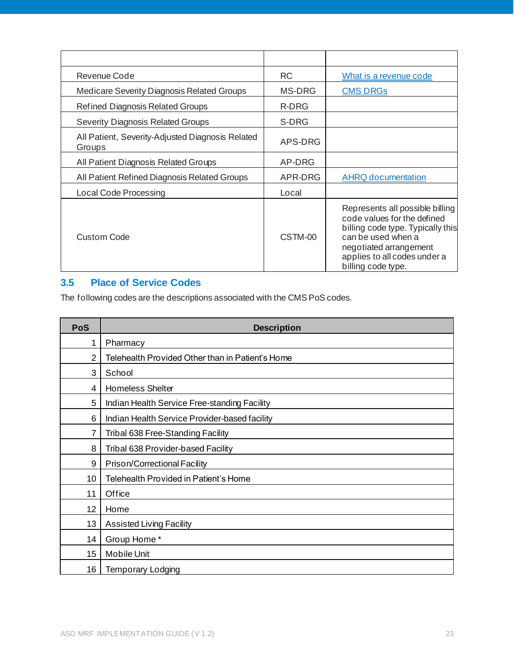| Revenue Code                                               | <b>RC</b> | What is a revenue code                                                                                                                                                                                    |
|------------------------------------------------------------|-----------|-----------------------------------------------------------------------------------------------------------------------------------------------------------------------------------------------------------|
| <b>Medicare Severity Diagnosis Related Groups</b>          | MS-DRG    | <b>CMS DRGs</b>                                                                                                                                                                                           |
| <b>Refined Diagnosis Related Groups</b>                    | R-DRG     |                                                                                                                                                                                                           |
| <b>Severity Diagnosis Related Groups</b>                   | S-DRG     |                                                                                                                                                                                                           |
| All Patient, Severity-Adjusted Diagnosis Related<br>Groups | APS-DRG   |                                                                                                                                                                                                           |
| All Patient Diagnosis Related Groups                       | AP-DRG    |                                                                                                                                                                                                           |
| All Patient Refined Diagnosis Related Groups               | APR-DRG   | <b>AHRQ documentation</b>                                                                                                                                                                                 |
| Local Code Processing                                      | Local     |                                                                                                                                                                                                           |
| Custom Code                                                | CSTM-00   | Represents all possible billing<br>code values for the defined<br>billing code type. Typically this<br>can be used when a<br>negotiated arrangement<br>applies to all codes under a<br>billing code type. |

# <span id="page-22-0"></span>**3.5 Place of Service Codes**

The following codes are the descriptions associated with the CMS PoS codes.

| <b>PoS</b> | <b>Description</b>                               |
|------------|--------------------------------------------------|
| 1          | Pharmacy                                         |
| 2          | Telehealth Provided Other than in Patient's Home |
| 3          | School                                           |
| 4          | Homeless Shelter                                 |
| 5          | Indian Health Service Free-standing Facility     |
| 6          | Indian Health Service Provider-based facility    |
| 7          | Tribal 638 Free-Standing Facility                |
| 8          | Tribal 638 Provider-based Facility               |
| 9          | Prison/Correctional Facility                     |
| 10         | Telehealth Provided in Patient's Home            |
| 11         | Office                                           |
| 12         | Home                                             |
| 13         | <b>Assisted Living Facility</b>                  |
| 14         | Group Home*                                      |
| 15         | <b>Mobile Unit</b>                               |
| 16         | <b>Temporary Lodging</b>                         |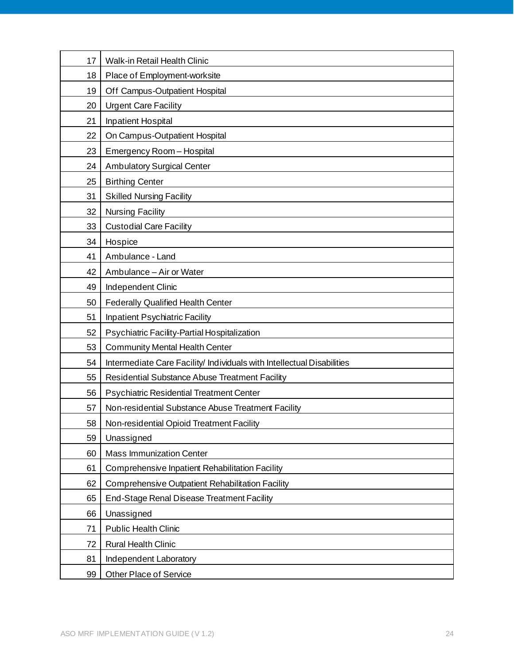| 17 | Walk-in Retail Health Clinic                                           |
|----|------------------------------------------------------------------------|
| 18 | Place of Employment-worksite                                           |
| 19 | Off Campus-Outpatient Hospital                                         |
| 20 | <b>Urgent Care Facility</b>                                            |
| 21 | <b>Inpatient Hospital</b>                                              |
| 22 | On Campus-Outpatient Hospital                                          |
| 23 | Emergency Room - Hospital                                              |
| 24 | <b>Ambulatory Surgical Center</b>                                      |
| 25 | <b>Birthing Center</b>                                                 |
| 31 | <b>Skilled Nursing Facility</b>                                        |
| 32 | <b>Nursing Facility</b>                                                |
| 33 | <b>Custodial Care Facility</b>                                         |
| 34 | Hospice                                                                |
| 41 | Ambulance - Land                                                       |
| 42 | Ambulance - Air or Water                                               |
| 49 | Independent Clinic                                                     |
| 50 | <b>Federally Qualified Health Center</b>                               |
| 51 | Inpatient Psychiatric Facility                                         |
| 52 | Psychiatric Facility-Partial Hospitalization                           |
| 53 | <b>Community Mental Health Center</b>                                  |
| 54 | Intermediate Care Facility/ Individuals with Intellectual Disabilities |
| 55 | Residential Substance Abuse Treatment Facility                         |
| 56 | <b>Psychiatric Residential Treatment Center</b>                        |
| 57 | Non-residential Substance Abuse Treatment Facility                     |
| 58 | Non-residential Opioid Treatment Facility                              |
| 59 | Unassigned                                                             |
| 60 | <b>Mass Immunization Center</b>                                        |
| 61 | Comprehensive Inpatient Rehabilitation Facility                        |
| 62 | Comprehensive Outpatient Rehabilitation Facility                       |
| 65 | End-Stage Renal Disease Treatment Facility                             |
| 66 | Unassigned                                                             |
| 71 | <b>Public Health Clinic</b>                                            |
| 72 | <b>Rural Health Clinic</b>                                             |
| 81 | Independent Laboratory                                                 |
| 99 | <b>Other Place of Service</b>                                          |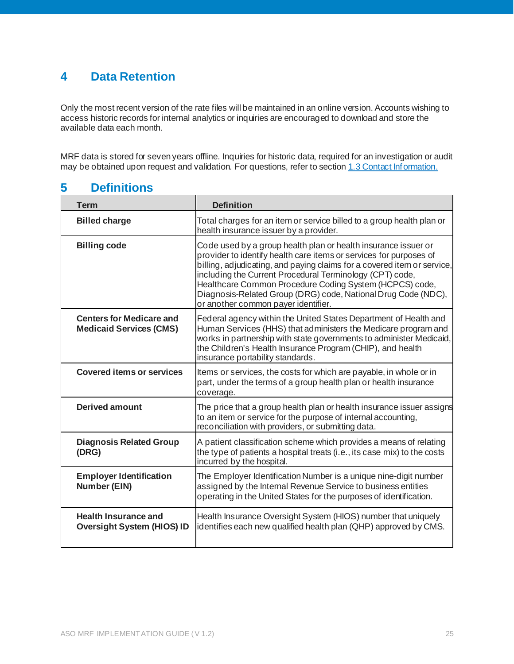# <span id="page-24-0"></span>**4 Data Retention**

Only the most recent version of the rate files will be maintained in an online version. Accounts wishing to access historic records for internal analytics or inquiries are encouraged to download and store the available data each month.

MRF data is stored for seven years offline. Inquiries for historic data, required for an investigation or audit may be obtained upon request and validation. For questions, refer to sectio[n 1.3 Contact Information.](#page-2-3)

# <span id="page-24-1"></span>**5 Definitions**

| <b>Term</b>                                                       | <b>Definition</b>                                                                                                                                                                                                                                                                                                                                                                                                                              |
|-------------------------------------------------------------------|------------------------------------------------------------------------------------------------------------------------------------------------------------------------------------------------------------------------------------------------------------------------------------------------------------------------------------------------------------------------------------------------------------------------------------------------|
| <b>Billed charge</b>                                              | Total charges for an item or service billed to a group health plan or<br>health insurance issuer by a provider.                                                                                                                                                                                                                                                                                                                                |
| <b>Billing code</b>                                               | Code used by a group health plan or health insurance issuer or<br>provider to identify health care items or services for purposes of<br>billing, adjudicating, and paying claims for a covered item or service,<br>including the Current Procedural Terminology (CPT) code,<br>Healthcare Common Procedure Coding System (HCPCS) code,<br>Diagnosis-Related Group (DRG) code, National Drug Code (NDC),<br>or another common payer identifier. |
| <b>Centers for Medicare and</b><br><b>Medicaid Services (CMS)</b> | Federal agency within the United States Department of Health and<br>Human Services (HHS) that administers the Medicare program and<br>works in partnership with state governments to administer Medicaid,<br>the Children's Health Insurance Program (CHIP), and health<br>insurance portability standards.                                                                                                                                    |
| <b>Covered items or services</b>                                  | Items or services, the costs for which are payable, in whole or in<br>part, under the terms of a group health plan or health insurance<br>coverage.                                                                                                                                                                                                                                                                                            |
| <b>Derived amount</b>                                             | The price that a group health plan or health insurance issuer assigns<br>to an item or service for the purpose of internal accounting,<br>reconciliation with providers, or submitting data.                                                                                                                                                                                                                                                   |
| <b>Diagnosis Related Group</b><br>(DRG)                           | A patient classification scheme which provides a means of relating<br>the type of patients a hospital treats (i.e., its case mix) to the costs<br>incurred by the hospital                                                                                                                                                                                                                                                                     |
| <b>Employer Identification</b><br>Number (EIN)                    | The Employer Identification Number is a unique nine-digit number<br>assigned by the Internal Revenue Service to business entities<br>operating in the United States for the purposes of identification.                                                                                                                                                                                                                                        |
| <b>Health Insurance and</b><br><b>Oversight System (HIOS) ID</b>  | Health Insurance Oversight System (HIOS) number that uniquely<br>identifies each new qualified health plan (QHP) approved by CMS.                                                                                                                                                                                                                                                                                                              |